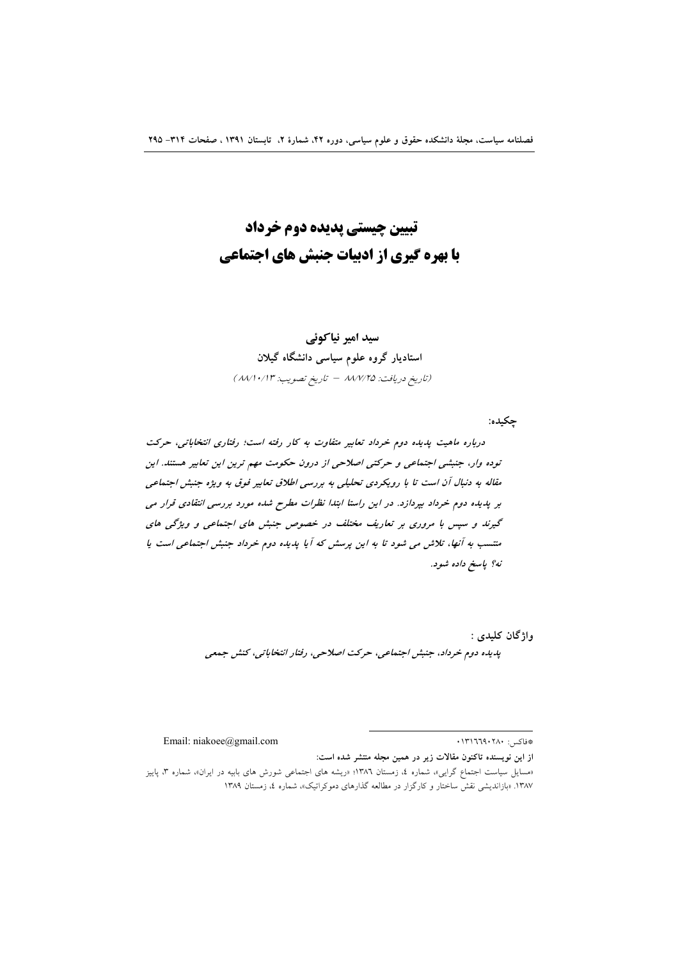# تبیین چیستی پدیده دوم خرداد **با بهره گیری از ادبیات جنبش های اجتماعی**

## سید امیر نیاکوئے

# استادیار گروه علوم سیاسی دانشگاه گیلان (تاريخ دريافت: ٨٨/٧/٢٥ - تاريخ تصويب: ٨٨/١٠/١٣)

جكيده:

درباره ماهیت پدیده دوم خرداد تعابیر متفاوت به کار رفته است؛ رفتاری انتخاباتی، حرکت توده وار، جنبشی اجتماعی و حرکتی اصلاحی از درون حکومت مهم ترین این تعابیر هستند. این مقاله به دنبال آن است تا با رویکردی تحلیلی به بررسی اطلاق تعابیر فوق به ویژه جنبش اجتماعی بر پدیده دوم خرداد بپردازد. در این راستا ابتدا نظرات مطرح شده مورد بررسی انتقادی قرار می گیرند و سپس با مروری بر تعاریف مختلف در خصوص جنبش های اجتماعی و ویژگی های منتسب به آنها، تلاش می شود تا به این پرسش که آیا پدیده دوم خرداد جنبش اجتماعی است یا نه؟ پاسخ داده شود.

واژگان کليدي :

پدیده دوم خرداد، جنبش اجتماعی، حرکت اصلاحی، رفتار انتخاباتی، کنش جمعی

\*فاكس: ١٣١٦٦٩٠٢٨٠

Email: niakoee@gmail.com

از این نویسنده تاکنون مقالات زیر در همین مجله منتشر شده است:

<sup>«</sup>مسایل سیاست اجتماع گرایی»، شماره ٤، زمستان ١٣٨٦؛ «ریشه های اجتماعی شورش های بابیه در ایران»، شماره ٣، پاییز ۱۳۸۷. «بازاندیشی نقشّ ساختار و کارگزار در مطالعه گذارهای دموکراتیک»، شماره ٤، زمستان ۱۳۸۹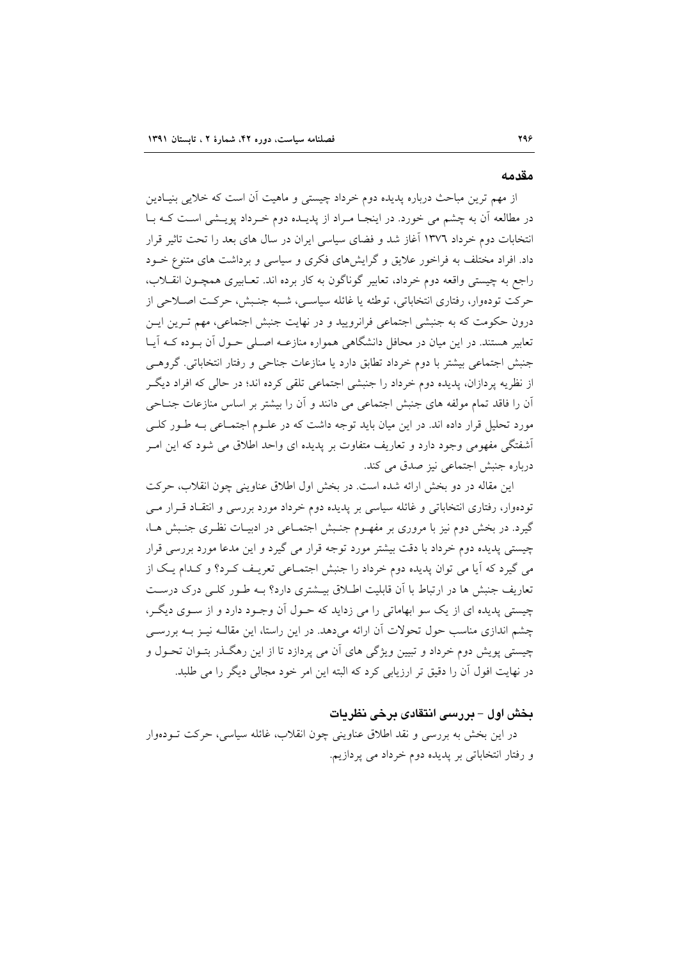#### مقدمه

از مهم ترین مباحث درباره پدیده دوم خرداد چیستی و ماهیت آن است که خلایی بنیـادین در مطالعه آن به چشم می خورد. در اینجـا مـراد از پدیـده دوم خـرداد پویـشی اسـت کـه بـا انتخابات دوم خرداد ١٣٧٦ آغاز شد و فضاى سياسى ايران در سال هاى بعد را تحت تاثير قرار داد. افراد مختلف به فراخور علایق و گرایشهای فکری و سیاسی و برداشت های متنوع خـود راجع به چیستی واقعه دوم خرداد، تعابیر گوناگون به کار برده اند. تعـابیری همچـون انقــلاب، حركت تودهوار، رفتاري انتخاباتي، توطئه يا غائله سياسـي، شـبه جنـبش، حركـت اصـلاحي از درون حکومت که به جنبشی اجتماعی فرانرویید و در نهایت جنبش اجتماعی، مهم تـرین ایـن تعابیر هستند. در این میان در محافل دانشگاهی همواره منازعـه اصـلی حـول آن بـوده کـه آیـا جنبش اجتماعی بیشتر با دوم خرداد تطابق دارد یا منازعات جناحی و رفتار انتخاباتی. گروهـی از نظریه پردازان، پدیده دوم خرداد را جنبشی اجتماعی تلقی کرده اند؛ در حالی که افراد دیگـر آن را فاقد تمام مولَّفه های جنبش اجتماعی می دانند و آن را بیشتر بر اساس منازعات جنــاحی مورد تحلیل قرار داده اند. در این میان باید توجه داشت که در علـوم اجتمـاعی بـه طـور کلــی اَشفتگی مفهومی وجود دارد و تعاریف متفاوت بر پدیده ای واحد اطلاق می شود که این امـر درباره جنبش اجتماعی نیز صدق می کند.

این مقاله در دو بخش ارائه شده است. در بخش اول اطلاق عناوینی چون انقلاب، حرکت تودهوار، رفتاری انتخاباتی و غائله سیاسی بر پدیده دوم خرداد مورد بررسی و انتقاد قـرار مـی گیرد. در بخش دوم نیز با مروری بر مفهــوم جنــبش اجتمــاعی در ادبیــات نظــری جنــبش هــا، چیستی پدیده دوم خرداد با دقت بیشتر مورد توجه قرار می گیرد و این مدعا مورد بررسی قرار می گیرد که آیا می توان پدیده دوم خرداد را جنبش اجتمـاعی تعریـف کـرد؟ و کـدام یـک از تعاریف جنبش ها در ارتباط با آن قابلیت اطلاق بیـشتری دارد؟ بـه طـور کلـی درک درسـت چیستی پدیده ای از یک سو ابهاماتی را می زداید که حـول آن وجـود دارد و از سـوی دیگـر، چشم اندازی مناسب حول تحولات آن ارائه میدهد. در این راستا، این مقالـه نیـز بـه بررسـی چیستی پویش دوم خرداد و تبیین ویژگی های آن می پردازد تا از این رهگذر بتـوان تحـول و در نهایت افول آن را دقیق تر ارزیابی کرد که البته این امر خود مجالی دیگر را می طلبد.

## بخش اول – بررسی انتقادی برخی نظریات

در این بخش به بررسی و نقد اطلاق عناوینی چون انقلاب، غائله سیاسی، حرکت تــودهوار و رفتار انتخاباتی بر یدیده دوم خرداد می پردازیم.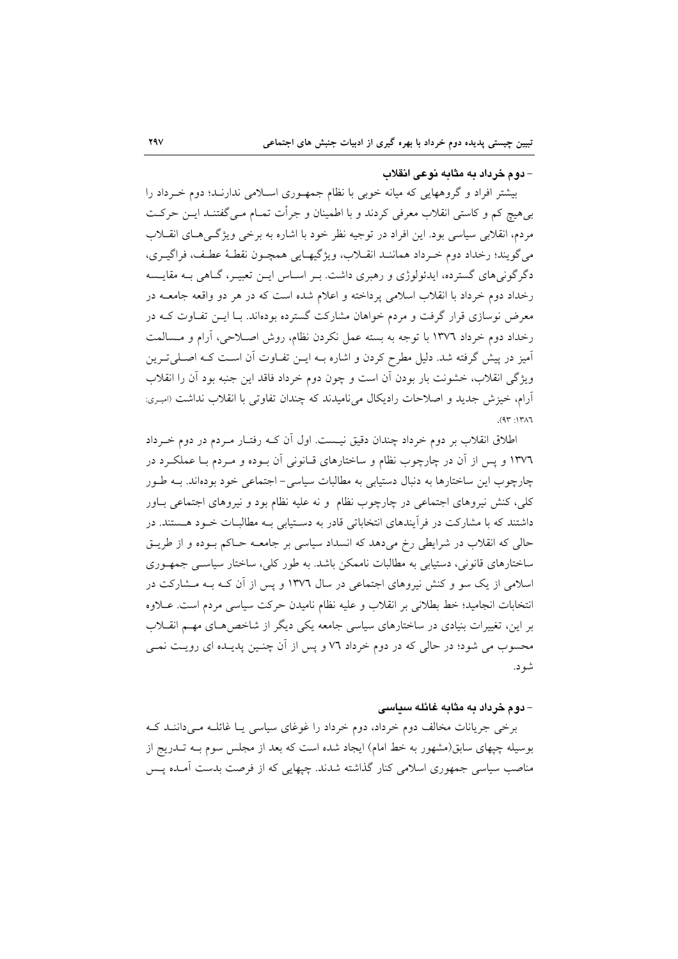#### – دوم خرداد به مثابه نوعی انقلاب

بیشتر افراد و گروههایی که میانه خوبی با نظام جمهوری اسلامی ندارنـد؛ دوم خـرداد را بیهیچ کم و کاستی انقلاب معرفی کردند و با اطمینان و جرأت تمـام مـی گفتنــد ایــن حرکــت مردم، انقلابی سیاسی بود. این افراد در توجیه نظر خود با اشاره به برخی ویژگی هـای انقــلاب مي گويند؛ رخداد دوم خرداد هماننـد انقـلاب، ويژگيهـايي همچـون نقطـهٔ عطـف، فراگيـري، دگرگونیهای گسترده، ایدئولوژی و رهبری داشت. بـر اسـاس ایــن تعبیــر، گــاهی بــه مقایــسه رخداد دوم خرداد با انقلاب اسلامی یرداخته و اعلام شده است که در هر دو واقعه جامعــه در معرض نوسازی قرار گرفت و مردم خواهان مشارکت گسترده بودهاند. بـا ایــن تفــاوت کــه در رخداد دوم خرداد ۱۳۷٦ با توجه به بسته عمل نكردن نظام، روش اصـلاحي، آرام و مـسالمت آمیز در پیش گرفته شد. دلیل مطرح کردن و اشاره بــه ایــن تفــاوت آن اســت کــه اصــلـی تــرین ويژگي انقلاب، خشونت بار بودن أن است و چون دوم خرداد فاقد اين جنبه بود أن را انقلاب آرام، خیزش جدید و اصلاحات رادیکال میiامیدند که چندان تفاوتی با انقلاب نداشت (امیری:  $(97 \cdot 17)$ 

اطلاق انقلاب بر دوم خرداد چندان دقیق نیست. اول آن کـه رفتـار مـردم در دوم خـرداد ۱۳۷٦ و پس از آن در چارچوب نظام و ساختارهای قـانونی آن بـوده و مـردم بـا عملکـرد در چارچوب این ساختارها به دنبال دستیابی به مطالبات سیاسی- اجتماعی خود بودهاند. بــه طـور کلی، کنش نیروهای اجتماعی در چارچوب نظام ًو نه علیه نظام بود و نیروهای اجتماعی بــاور داشتند که با مشارکت در فرآیندهای انتخاباتی قادر به دستیابی بـه مطالبـات خـود هـستند. در حالی که انقلاب در شرایطی رخ میدهد که انسداد سیاسی بر جامعـه حـاکم بـوده و از طریـق ساختارهای قانونی، دستیابی به مطالبات ناممکن باشد. به طور کلی، ساختار سیاسبی جمهوری اسلامی از یک سو و کنش نیروهای اجتماعی در سال ۱۳۷۲ و پس از آن کـه بـه مــشارکت در انتخابات انجاميد؛ خط بطلاني بر انقلاب و عليه نظام ناميدن حركت سياسي مردم است. عــلاوه بر این، تغییرات بنیادی در ساختارهای سیاسی جامعه یکی دیگر از شاخص هـای مهـم انقــلاب محسوب می شود؛ در حالی که در دوم خرداد ۷۲ و پس از آن چنـین پدیـده ای رویـت نمـی شو د.

#### – دوم خرداد به مثابه غائله سیاسی

برخی جریانات مخالف دوم خرداد، دوم خرداد را غوغای سیاسی یـا غائلــه مــی۱دانــد کــه بوسیله چپهای سابق(مشهور به خط امام) ایجاد شده است که بعد از مجلس سوم بــه تــدریج از مناصب سیاسی جمهوری اسلامی کنار گذاشته شدند. چیهایی که از فرصت بدست آمـده پــس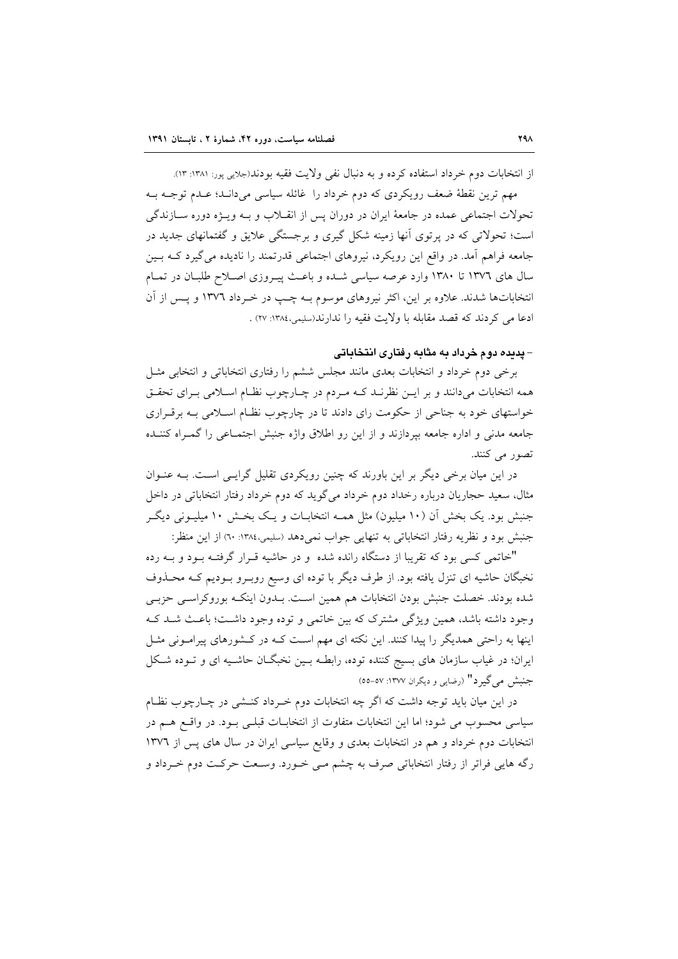از انتخابات دوم خرداد استفاده کرده و به دنبال نفی ولایت فقیه بودند(جلایی پور: ۱۳۸۱: ۱۳). مهم ترین نقطهٔ ضعف رویکردی که دوم خرداد را غائله سیاسی می(دانـد؛ عـدم توجـه بـه تحولات اجتماعی عمده در جامعهٔ ایران در دوران پس از انقــلاب و بــه ویــژه دوره ســازندگی است؛ تحولاتی که در پرتوی آنها زمینه شکل گیری و برجستگی علایق و گفتمانهای جدید در جامعه فراهم آمد. در واقع این رویکرد، نیروهای اجتماعی قدرتمند را نادیده می گیرد کـه بـین سال های ۱۳۷۲ تا ۱۳۸۰ وارد عرصه سیاسی شده و باعث پیـروزی اصـلاح طلبـان در تمـام انتخاباتها شدند. علاوه بر این، اکثر نیروهای موسوم بـه چـب در خـرداد ۱۳۷۲ و پـس از آن ادعا مي كردند كه قصد مقابله با ولايت فقيه را ندارند(سليمي،١٣٨٤: ٢٧) .

– **پدیده دوم خرداد به مثابه رفتاری انتخاباتی** 

برخی دوم خرداد و انتخابات بعدی مانند مجلس ششم را رفتاری انتخاباتی و انتخابی مثـل همه انتخابات میدانند و بر ایـن نظرنــد کــه مـردم در چــارچوب نظــام اســلامی بــرای تحقــق خواستهای خود به جناحی از حکومت رای دادند تا در چارچوب نظـام اسـلامی بـه برقـراری جامعه مدنی و اداره جامعه بیردازند و از این رو اطلاق واژه جنبش اجتمـاعی را گمـراه کننــده تصور می کنند.

در این میان برخی دیگر بر این باورند که چنین رویکردی تقلیل گرایـی اسـت. بــه عنــوان مثال، سعید حجاریان درباره رخداد دوم خرداد میگوید که دوم خرداد رفتار انتخاباتی در داخل جنبش بود. یک بخش اَن (۱۰ میلیون) مثل همـه انتخابــات و یــک بخــش ۱۰ میلیــونی دیگــر جنبش بود و نظريه رفتار انتخاباتي به تنهايي جواب نمي دهد (سليمي،١٣٨٤: ٦٠) از اين منظر:

"خاتمی کسی بود که تقریبا از دستگاه رانده شده و در حاشیه قبرار گرفتیه ببود و بیه رده نخبگان حاشیه ای تنزل یافته بود. از طرف دیگر با توده ای وسیع روبـرو بـودیم کـه محـذوف شده بودند. خصلت جنبش بودن انتخابات هم همین است. بــدون اینکــه بوروکراســی حزبــی وجود داشته باشد، همین ویژگی مشترک که بین خاتمی و توده وجود داشت؛ باعث شـد کـه اینها به راحتی همدیگر را پیدا کنند. این نکته ای مهم است کـه در کـشورهای پیرامـونی مثـل ایران؛ در غیاب سازمان های بسیج کننده توده، رابطـه بـین نخبگــان حاشـیه ای و تــوده شــکل جنبش می گیر د" (رضایی و دیگران ۱۳۷۷: ۵۷-۵۵)

در این میان باید توجه داشت که اگر چه انتخابات دوم خـرداد کنــشی در چــارچوب نظــام سیاسی محسوب می شود؛ اما این انتخابات متفاوت از انتخابات قبلبی بـود. در واقــع هــم در انتخابات دوم خرداد و هم در انتخابات بعدى و وقايع سياسي ايران در سال هاى پس از ١٣٧٦ رگه هایی فراتر از رفتار انتخاباتی صرف به چشم مـی خـورد. وسـعت حرکـت دوم خـرداد و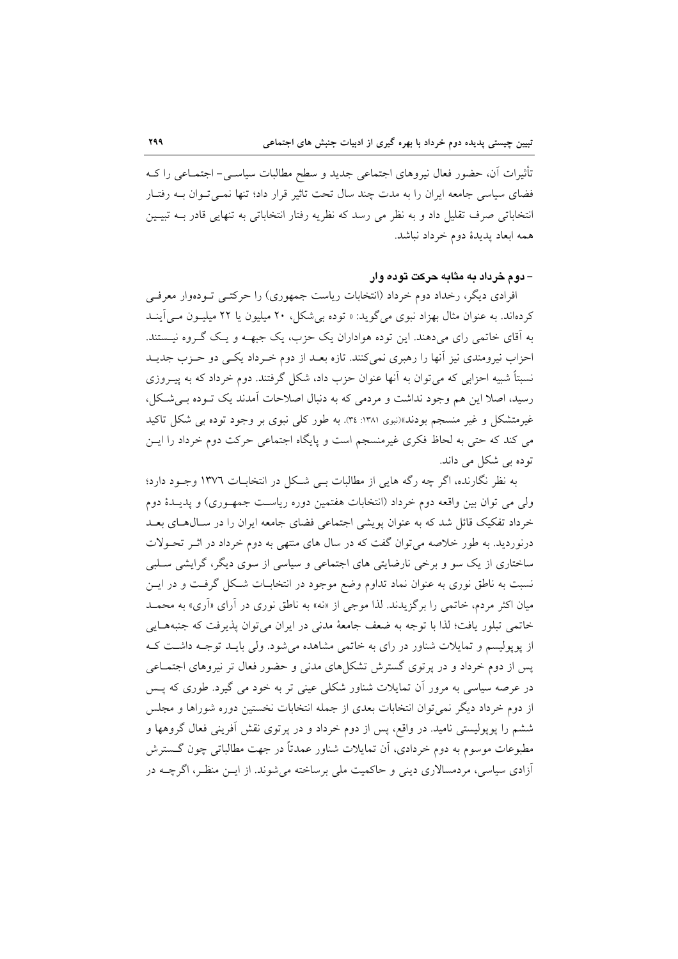تأثیرات آن، حضور فعال نیروهای اجتماعی جدید و سطح مطالبات سیاسـی- اجتمـاعی را کـه فضای سیاسی جامعه ایران را به مدت چند سال تحت تاثیر قرار داد؛ تنها نمبی تـوان بــه رفتـار انتخاباتی صرف تقلیل داد و به نظر می رسد که نظریه رفتار انتخاباتی به تنهایی قادر بــه تبیـین همه ابعاد يديدهٔ دوم خرداد نباشد.

#### - دوم خرداد به مثابه حرکت توده وار

افرادی دیگر، رخداد دوم خرداد (انتخابات ریاست جمهوری) را حرکتبی تـودهوار معرفـی کردهاند. به عنوان مثال بهزاد نبوی می گوید: « توده بی شکل، ۲۰ میلیون یا ۲۲ میلیـون مـی آینـد به اّقای خاتمی رای میدهند. این توده هواداران یک حزب، یک جبهـه و یـک گـروه نیـستند. احزاب نیرومندی نیز آنها را رهبری نمی کنند. تازه بعـد از دوم خـرداد یکـی دو حــزب جدیــد نسبتاً شبیه احزابی که می توان به آنها عنوان حزب داد، شکل گرفتند. دوم خرداد که به پیــروزی رسید، اصلا این هم وجود نداشت و مردمی که به دنبال اصلاحات آمدند یک تـوده بـم شـکل، غیرمتشکل و غیر منسجم بودند»(نبوی ۱۳۸۱: ۳٤). به طور کلی نبوی بر وجود توده بی شکل تاکید می کند که حتی به لحاظ فکری غیرمنسجم است و پایگاه اجتماعی حرکت دوم خرداد را ایــن تودہ ہے شکل مے داند.

به نظر نگارنده، اگر چه رگه هایی از مطالبات ببی شکل در انتخابـات ۱۳۷٦ وجـود دارد؛ ولی می توان بین واقعه دوم خرداد (انتخابات هفتمین دوره ریاست جمهـوری) و پدیــدۀ دوم خرداد تفکیک قائل شد که به عنوان پویشی اجتماعی فضای جامعه ایران را در سال های بعـد درنوردید. به طور خلاصه می توان گفت که در سال های منتهی به دوم خرداد در اثـر تحـولات ساختاری از یک سو و برخی نارضایتی های اجتماعی و سیاسی از سوی دیگر، گرایشی سـلبی نسبت به ناطق نوری به عنوان نماد تداوم وضع موجود در انتخابـات شـكل گرفـت و در ايـن میان اکثر مردم، خاتمی را برگزیدند. لذا موجی از «نه» به ناطق نوری در آرای «آری» به محمـد خاتمي تبلور يافت؛ لذا با توجه به ضعف جامعهٔ مدنى در ايران مى توان پذيرفت كه جنبههـايي از یوپولیسم و تمایلات شناور در رای به خاتمی مشاهده می شود. ولی بایـد توجـه داشـت کـه یس از دوم خرداد و در پر توی گسترش تشکا های مدنی و حضور فعال تر نیروهای اجتمـاعی در عرصه سیاسی به مرور آن تمایلات شناور شکلی عینی تر به خود می گیرد. طوری که پــس از دوم خرداد دیگر نمی توان انتخابات بعدی از جمله انتخابات نخستین دوره شوراها و مجلس ششم را پویولیستی نامید. در واقع، پس از دوم خرداد و در پرتوی نقش آفرینی فعال گروهها و مطبوعات موسوم به دوم خردادی، آن تمایلات شناور عمدتاً در جهت مطالباتی چون گـسترش آزادی سیاسی، مردمسالاری دینی و حاکمیت ملی برساخته می شوند. از ایــن منظـر، اگرچــه در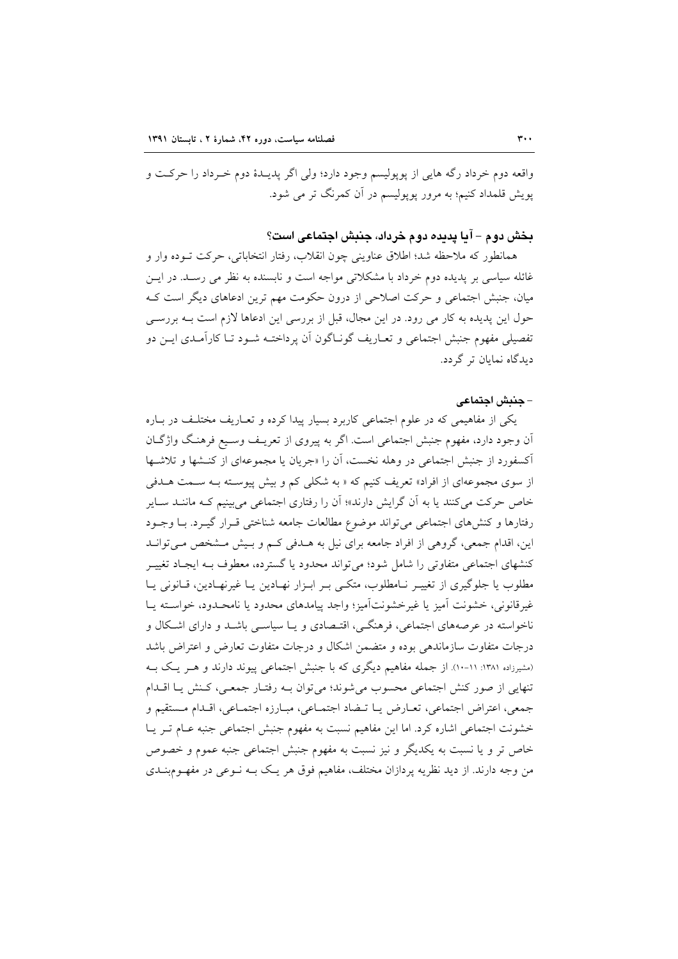واقعه دوم خرداد رگه هايي از پويوليسم وجود دارد؛ ولي اگر پديـدۀ دوم خـرداد را حركـت و یویش قلمداد کنیم؛ به مرور یوپولیسم در آن کمرنگ تر می شود.

## بخش دوم – آيا يديده دوم خرداد، جنبش اجتماعي است؟

همانطور كه ملاحظه شد؛ اطلاق عناويني چون انقلاب، رفتار انتخاباتي، حركت تــوده وار و غائله سیاسی بر پدیده دوم خرداد با مشکلاتی مواجه است و نابسنده به نظر می رسـد. در ایــن میان، جنبش اجتماعی و حرکت اصلاحی از درون حکومت مهم ترین ادعاهای دیگر است ک حول این پدیده به کار می رود. در این مجال، قبل از بررسی این ادعاها لازم است بـه بررسـی تفصیلی مفهوم جنبش اجتماعی و تعـاریف گونـاگون آن پرداختـه شـود تـا کارآمـدی ایــن دو ديدگاه نمايان تر گردد.

#### – جنبش اجتماعي

یکی از مفاهیمی که در علوم اجتماعی کاربرد بسیار پیدا کرده و تعـاریف مختلـف در بـاره آن وجود دارد، مفهوم جنبش اجتماعی است. اگر به پیروی از تعریـف وسـیع فرهنـگ واژگـان آکسفورد از جنبش اجتماعی در وهله نخست، آن را «جریان یا مجموعهای از کنـشها و تلاشـها از سوی مجموعهای از افراد» تعریف کنیم که « به شکلی کم و بیش پیوسته بـه سـمت هـلـفی خاص حرکت میکنند یا به آن گرایش دارند»؛ آن را رفتاری اجتماعی می بینیم کـه ماننــد ســایر رفتارها و كنشهاى اجتماعى مى تواند موضوع مطالعات جامعه شناختى قـرار گيــرد. بــا وجــود این، اقدام جمعی، گروهی از افراد جامعه برای نیل به هـدفی کـم و بـیش مـشخص مـیتوانـد کنشهای اجتماعی متفاوتی را شامل شود؛ می تواند محدود یا گسترده، معطوف بـه ایجـاد تغییــر مطلوب یا جلوگیری از تغییر نـامطلوب، متکـی بـر ابـزار نهـادین یـا غیرنهـادین، قـانونی یـا غير قانوني، خشونت أميز يا غيرخشونتأميز؛ واجد پيامدهاي محدود يا نامحـدود، خواسـته پـا ناخواسته در عرصههای اجتماعی، فرهنگـی، اقتـصادی و یـا سیاسـی باشــد و دارای اشــکال و درجات متفاوت سازماندهي بوده و متضمن اشكال و درجات متفاوت تعارض و اعتراض باشد (مشیرزاده ۱۳۸۱: ۱۱-۱۰). از جمله مفاهیم دیگری که با جنبش اجتماعی پیوند دارند و هـر یـک بـه تنهایی از صور کنش اجتماعی محسوب میشوند؛ می توان بـه رفتـار جمعـی، کـنش یـا اقـدام جمعي، اعتراض اجتماعي، تعـارض يـا تـضاد اجتمـاعي، مبـارزه اجتمـاعي، اقـدام مـستقيم و خشونت اجتماعی اشاره کرد. اما این مفاهیم نسبت به مفهوم جنبش اجتماعی جنبه عـام تـر یـا خاص تر و یا نسبت به یکدیگر و نیز نسبت به مفهوم جنبش اجتماعی جنبه عموم و خصوص من وجه دارند. از ديد نظريه پردازان مختلف، مفاهيم فوق هر يـک بــه نــوعي در مفهــومبنــدي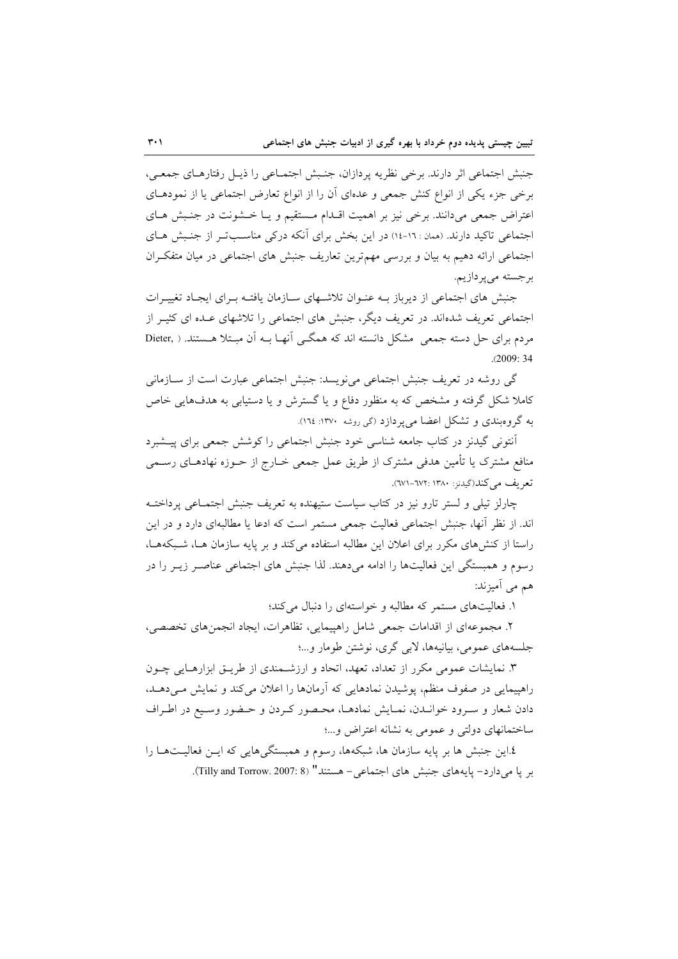جنبش اجتماعي اثر دارند. برخي نظريه پردازان، جنـبش اجتمـاعي را ذيـل رفتارهـاي جمعـي، برخی جزء یکی از انواع کنش جمعی و عدمای آن را از انواع تعارض اجتماعی یا از نمودهای اعتراض جمعی میدانند. برخی نیز بر اهمیت اقـدام مستقیم و یـا خـشونت در جنـبش هـای اجتماعی تاکید دارند. (ممان : ١٦-١٤) در این بخش برای آنکه در کی مناسبت ر از جنبش هـای اجتماعی ارائه دهیم به بیان و بررسی مهم ترین تعاریف جنبش های اجتماعی در میان متفکران برجسته ميپردازيم.

جنبش های اجتماعی از دیرباز بـه عنـوان تلاشـهای سـازمان یافتـه بـرای ایجـاد تغییـرات اجتماعی تعریف شدهاند. در تعریف دیگر، جنبش های اجتماعی را تلاشهای عـده ای کثیـر از مردم برای حل دسته جمعی مشکل دانسته اند که همگی آنهـا بــه آن مبـتلا هـستند. ( ,Dieter  $(2009:34)$ 

گی روشه در تعریف جنبش اجتماعی می نویسد: جنبش اجتماعی عبارت است از ســازمانی کاملا شکل گرفته و مشخص که به منظور دفاع و یا گسترش و یا دستیابی به هدفهایی خاص به گروهبندی و تشکل اعضا می پردازد (گی روشه ۱۳۷۰: ۱۲۷:).

آنتونی گیدنز در کتاب جامعه شناسی خود جنبش اجتماعی را کوشش جمعی برای پیـشبرد منافع مشترک یا تأمین هدفی مشترک از طریق عمل جمعی خــارج از حــوزه نهادهــای رســمی تعريف مي كند(گيدنو: ١٣٨٠: ٦٧٢-٢٧١).

چارلز تیلی و لستر تارو نیز در کتاب سیاست ستیهنده به تعریف جنبش اجتمـاعی پرداختـه اند. از نظر أنها، جنبش اجتماعی فعالیت جمعی مستمر است که ادعا یا مطالبهای دارد و در این راستا از کنش های مکرر برای اعلان این مطالبه استفاده می کند و بر پایه سازمان هــا، شــبکههــا، رسوم و همبستگی این فعالیتها را ادامه میدهند. لذا جنبش های اجتماعی عناصـر زیـر را در هم مي اَميزند:

۱. فعالیتهای مستمر که مطالبه و خواستهای را دنبال می کند؛

۲. مجموعهای از اقدامات جمعی شامل راهپیمایی، تظاهرات، ایجاد انجمنهای تخصصی، جلسههاي عمومي، بيانيهها، لابي گري، نوشتن طومار و...؛

۳. نمایشات عمومی مکرر از تعداد، تعهد، اتحاد و ارزشـمندی از طریــق ابزارهــایی چــون راهیپمایی در صفوف منظم، پوشیدن نمادهایی که آرمانها را اعلان می کند و نمایش می دهـد. دادن شعار و سـرود خوانـدن، نمـايش نمادهـا، محـصور كـردن و حـضور وسـيع در اطـراف ساختمانهای دولتی و عمومی به نشانه اعتراض و...؛

٤.اين جنبش ها بر پايه سازمان ها، شبكهها، رسوم و همبستگيهايي كه ايـن فعاليـتهــا را بر يا مي دارد- پايههاي جنبش هاي اجتماعي- هستند" (Tilly and Torrow. 2007: 8).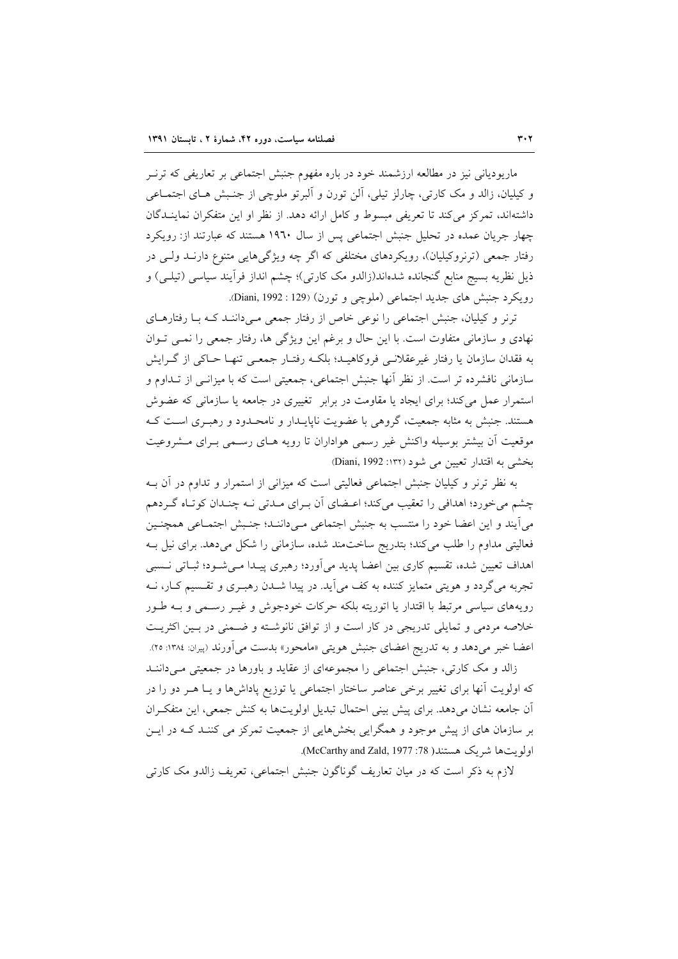ماریودیانی نیز در مطالعه ارزشمند خود در باره مفهوم جنبش اجتماعی بر تعاریفی که ترنـر و کیلیان، زالد و مک کارتی، چارلز تیلی، اَلن تورن و اَلبرتو ملوچی از جنـبش هـای اجتمـاعی داشتهاند، تمرکز میکند تا تعریفی مبسوط و کامل ارائه دهد. از نظر او این متفکران نماینــدگان چهار جریان عمده در تحلیل جنبش اجتماعی پس از سال ۱۹٦۰ هستند که عبارتند از: رویکرد رفتار جمعی (ترنروکیلیان)، رویکردهای مختلفی که اگر چه ویژگیهایی متنوع دارنـد ولـی در ذیل نظریه بسیج منابع گنجانده شدهاند(زالدو مک کارتی)؛ چشم انداز فرآیند سیاسی (تیلـی) و رويكرد جنبش هاي جديد اجتماعي (ملوچي و تورن) (Diani, 1992 : 129).

ترنر و کیلیان، جنبش اجتماعی را نوعی خاص از رفتار جمعی مے داننـد کـه بـا رفتارهـای نهادی و سازمانی متفاوت است. با این حال و برغم این ویژگی ها، رفتار جمعی را نمـی تـوان به فقدان سازمان یا رفتار غیرعقلانسی فروکاهیـد؛ بلکـه رفتـار جمعـی تنهـا حـاکی از گـرایش سازمانی نافشرده تر است. از نظر آنها جنبش اجتماعی، جمعیتی است که با میزانـی از تــداوم و استمرار عمل می کند؛ برای ایجاد یا مقاومت در برابر تغییری در جامعه یا سازمانی که عضوش هستند. جنبش به مثابه جمعیت، گروهی با عضویت ناپایـدار و نامحـدود و رهبـری اسـت کـه موقعیت آن بیشتر بوسیله واکنش غیر رسمی هواداران تا رویه هـای رسـمی بـرای مـشروعیت بخشي به اقتدار تعيين مي شود (١٣٢: Diani, 1992)

به نظر ترنر و کیلیان جنبش اجتماعی فعالیتی است که میزانی از استمرار و تداوم در آن بـه چشم میخورد؛ اهدافی را تعقیب میکند؛ اعـضای آن بـرای مـدتی نـه چنـدان کوتـاه گـردهم میآیند و این اعضا خود را منتسب به جنبش اجتماعی مـیداننـد؛ جنـبش اجتمـاعی همچنـین فعالیتی مداوم را طلب می کند؛ بتدریج ساختمند شده، سازمانی را شکل می دهد. برای نیل بـه اهداف تعیین شده، تقسیم کاری بین اعضا پدید می[ورد؛ رهبری پیـدا مـیشـود؛ ثبـاتی نــسبی تجربه مي گردد و هويتي متمايز كننده به كف مي آيد. در پيدا شــدن رهبـري و تقــسيم كـار، نــه رويههاي سياسي مرتبط با اقتدار يا اتوريته بلكه حركات خودجوش و غيـر رسـمي و بــه طـور خلاصه مردمی و تمایلی تدریجی در کار است و از توافق نانوشته و ضمنی در بین اکثریت اعضا خبر میدهد و به تدریج اعضای جنبش هویتی «مامحور» بدست می آورند (پیران: ۱۳۸٤: ۲۵).

زالد و مک کارتی، جنبش اجتماعی را مجموعهای از عقاید و باورها در جمعیتی مے داننـد که اولویت آنها برای تغییر برخی عناصر ساختار اجتماعی یا توزیع پاداشها و یـا هــر دو را در آن جامعه نشان میدهد. برای پیش بینی احتمال تبدیل اولویتها به کنش جمعی، این متفکران بر سازمان های از پیش موجود و همگرایی بخشهایی از جمعیت تمرکز می کننـد کـه در ایــن اولويتها شريك هستند( 78: McCarthy and Zald, 1977).

لازم به ذکر است که در میان تعاریف گوناگون جنبش اجتماعی، تعریف زالدو مک کارتی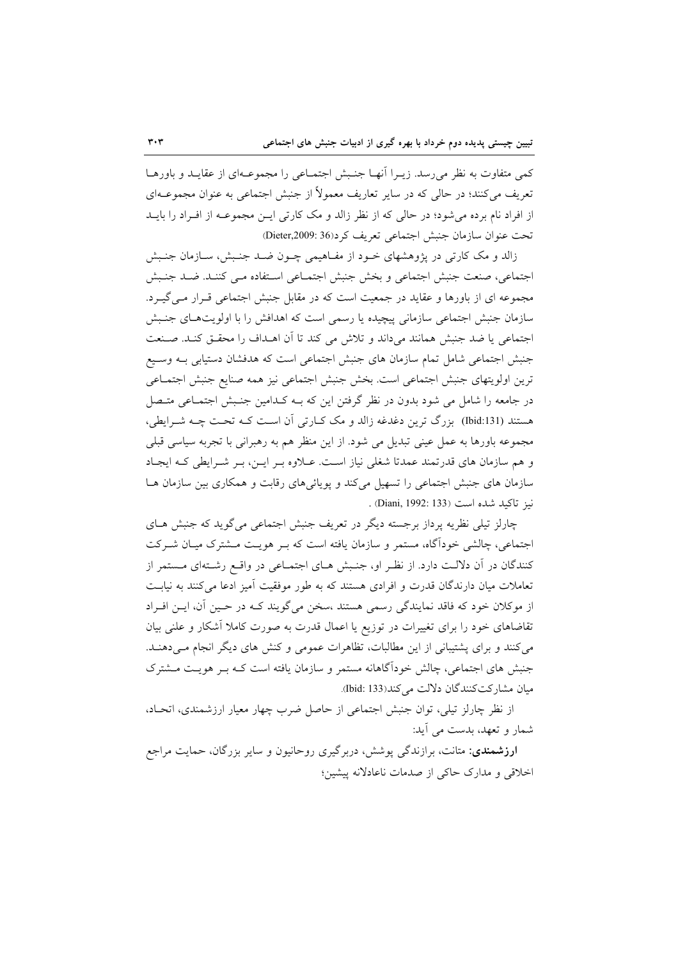كمي متفاوت به نظر مي رسد. زيـرا أنهـا جنـبش اجتمـاعي را مجموعـهاي از عقايـد و باورهـا تعریف می کنند؛ در حالی که در سایر تعاریف معمولاً از جنبش اجتماعی به عنوان مجموعــهای از افراد نام برده می شود؛ در حالی که از نظر زالد و مک کارتی ایـن مجموعــه از افـراد را بایــد تحت عنوان سازمان جنبش اجتماعی تعریف کرد(36 :Dieter,2009)

زالد و مک کارتی در پژوهشهای خـود از مفـاهیمی چـون ضـد جنـبش، سـازمان جنـبش اجتماعی، صنعت جنبش اجتماعی و بخش جنبش اجتمـاعی اسـتفاده مـی کننـد. ضـد جنـبش مجموعه ای از باورها و عقاید در جمعیت است که در مقابل جنبش اجتماعی قـرار مـیگیـرد. سازمان جنبش اجتماعی سازمانی پیچیده یا رسمی است که اهدافش را با اولویتهای جنبش اجتماعي يا ضد جنبش همانند مي داند و تلاش مي كند تا آن اهـداف را محقـق كنـد. صـنعت جنبش اجتماعی شامل تمام سازمان های جنبش اجتماعی است که هدفشان دستیابی بـه وسـیع ترين اولويتهاى جنبش اجتماعي است. بخش جنبش اجتماعي نيز همه صنايع جنبش اجتمـاعي در جامعه را شامل می شود بدون در نظر گرفتن این که بـه کـدامین جنـبش اجتمـاعی متـصل هستند (Ibid:131) بزرگ ترین دغدغه زالد و مک کـارتی آن اسـت کـه تحـت چـه شـرایطی، مجموعه باورها به عمل عینی تبدیل می شود. از این منظر هم به رهبرانی با تجربه سیاسی قبلی و هم سازمان های قدرتمند عمدتا شغلی نیاز است. عبلاوه بـر ایـن، بـر شـرایطی کـه ایجباد سازمان های جنبش اجتماعی را تسهیل میکند و پویائیهای رقابت و همکاری بین سازمان هـا .<br>نیز تاکید شده است (Diani, 1992: 133)

چارلز تیلی نظریه پرداز برجسته دیگر در تعریف جنبش اجتماعی می گوید که جنبش هـای اجتماعی، چالشی خودآگاه، مستمر و سازمان یافته است که بـر هویـت مــشترک میـان شــرکت کنندگان در آن دلالت دارد. از نظر او، جنـبش هـای اجتمـاعی در واقـع رشـتهای مـستمر از تعاملات میان دارندگان قدرت و افرادی هستند که به طور موفقیت آمیز ادعا می کنند به نیابت از موكلان خود كه فاقد نمايندگي رسمي هستند ،سخن مي گويند كـه در حـين آن، ايـن افـراد تقاضاهای خود را برای تغییرات در توزیع یا اعمال قدرت به صورت کاملا آشکار و علنی بیان می کنند و برای پشتیبانی از این مطالبات، تظاهرات عمومی و کنش های دیگر انجام مـیدهنـد. جنبش های اجتماعی، چالش خودآگاهانه مستمر و سازمان یافته است کـه بـر هویـت مـشترک ميان مشاركت كنندگان دلالت مى كند(133 :Ibid).

از نظر چارلز تیلی، توان جنبش اجتماعی از حاصل ضرب چهار معیار ارزشمندی، اتحـاد، شمار و تعهد، بدست می آید:

<mark>ارزشمندی:</mark> متانت، برازندگی یوشش، دربرگیری روحانیون و سایر بزرگان، حمایت مراجع اخلاقی و مدارک حاکی از صدمات ناعادلانه پیشین؛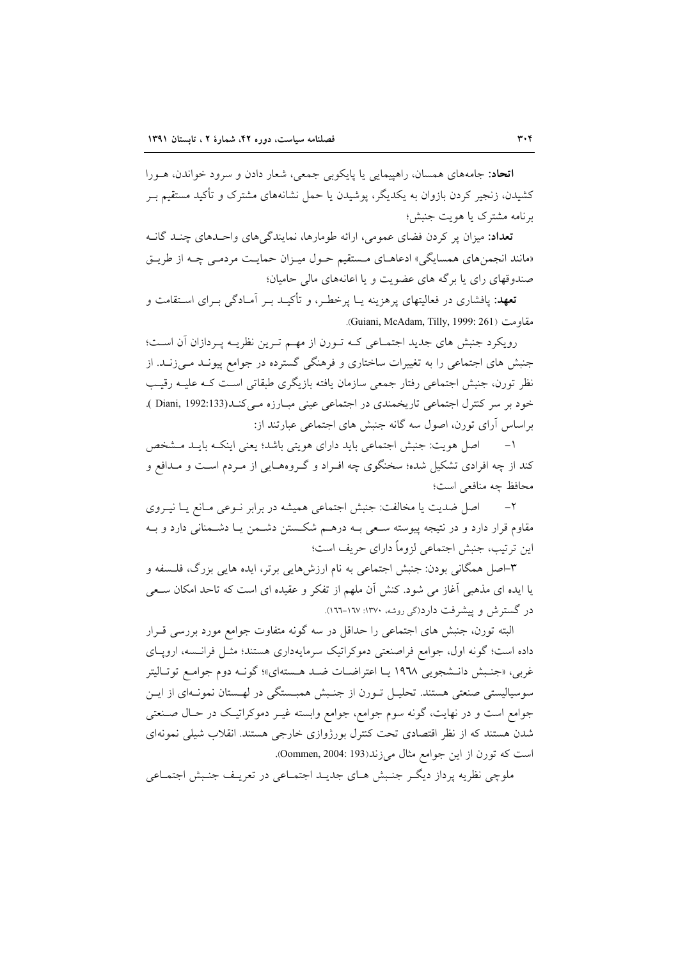**اتحاد**: جامههای همسان، راهپیمایی یا پایکوبی جمعی، شعار دادن و سرود خواندن، هـورا کشیدن، زنجیر کردن بازوان به یکدیگر، پوشیدن یا حمل نشانههای مشترک و تأکید مستقیم بـر برنامه مشترک یا هویت جنبش؛

<mark>تعداد:</mark> میزان پر کردن فضای عمومی، ارائه طومارها، نمایندگیِهای واحـدهای چنـد گانـه «مانند انجمنهای همسایگی» ادعاهـای مـستقیم حـول میـزان حمایـت مردمـی چـه از طریـق صندوقهای رای یا برگه های عضویت و یا اعانههای مالی حامیان؛

**تعهد**: یافشاری در فعالیتهای پرهزینه پــا پرخطـر، و تأکیــد بــر آمــادگی بــرای اســتقامت و مقاومت (Guiani, McAdam, Tilly, 1999: 261).

رویکرد جنبش های جدید اجتماعی کـه تـورن از مهـم تـرین نظریـه پـردازان آن اسـت؛ جنبش های اجتماعی را به تغییرات ساختاری و فرهنگی گسترده در جوامع پیونـد مـیزنـد. از نظر تورن، جنبش اجتماعی رفتار جمعی سازمان یافته بازیگری طبقاتی است کـه علیـه رقیـب خود بر سر كنترل اجتماعي تاريخمندي در اجتماعي عيني مبـارزه مـي كنـد(Diani, 1992:133 ). براساس آرای تورن، اصول سه گانه جنبش های اجتماعی عبارتند از:

اصل هويت: جنبش اجتماعي بايد داراي هويتي باشد؛ يعني اينكـه بايـد مـشخص  $-1$ کند از چه افرادی تشکیل شده؛ سخنگوی چه افـراد و گـروههـایی از مـردم اسـت و مـدافع و محافظ چه منافعی است؛

اصل ضدیت یا مخالفت: جنبش اجتماعی همیشه در برابر نـوعی مـانع یـا نیـروی  $-7$ مقاوم قرار دارد و در نتیجه پیوسته سـعی بــه درهــم شکــستن دشــمن یــا دشــمنانی دارد و بــه این ترتیب، جنبش اجتماعی لزوماً دارای حریف است؛

۳-اصل همگانی بودن: جنبش اجتماعی به نام ارزشهایی برتر، ایده هایی بزرگ، فلـسفه و یا ایده ای مذهبی آغاز می شود. کنش آن ملهم از تفکر و عقیده ای است که تاحد امکان سـعی در گسترش و پیشرفت دارد(گی روشه، ۱۳۷۰: ۱۲۷–۱۶۱).

البته تورن، جنبش های اجتماعی را حداقل در سه گونه متفاوت جوامع مورد بررسی قــرار داده است؛ گونه اول، جوامع فراصنعتی دموکراتیک سرمایهداری هستند؛ مثـل فرانـسه، اروپـای غربي، «جنبش دانـشجويي ١٩٦٨ يـا اعتراضـات ضـد هـستهاي»؛ گونـه دوم جوامـع توتـاليتر سوسیالیستی صنعتی هستند. تحلیـل تـورن از جنـبش همبـستگی در لهـستان نمونـهای از ایـن جوامع است و در نهایت، گونه سوم جوامع، جوامع وابسته غیـر دموکراتیـک در حـال صـنعتبی شدن هستند که از نظر اقتصادی تحت کنترل بورژوازی خارجی هستند. انقلاب شیلی نمونهای است كه تورن از اين جوامع مثال مي زند(193 :00mmen, 2004).

ملوچی نظریه پرداز دیگـر جنـبش هـای جدیـد اجتمـاعی در تعریـف جنـبش اجتمـاعی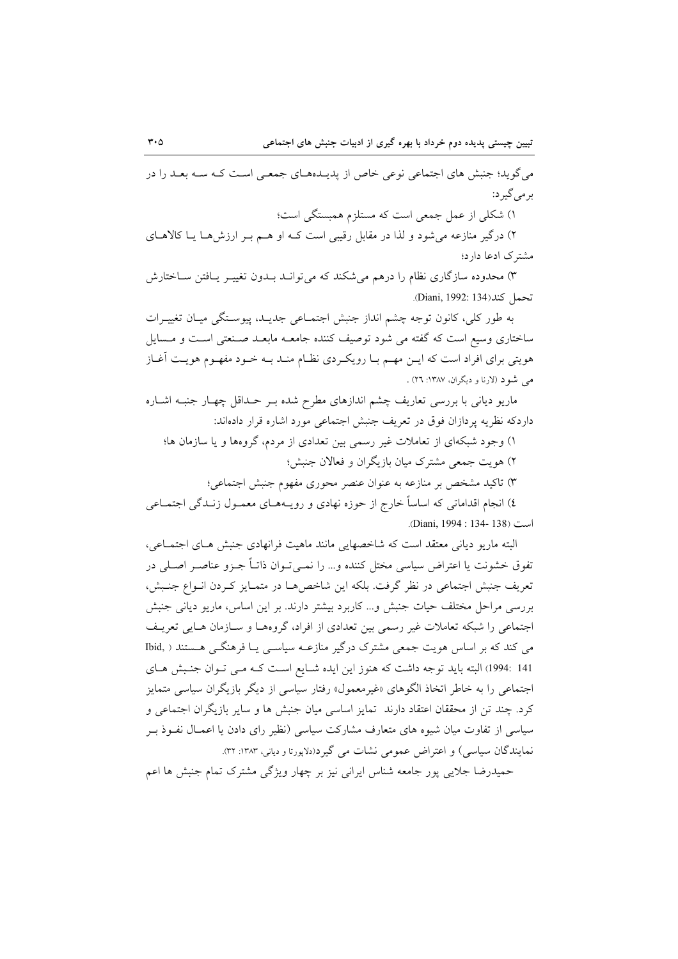می گوید؛ جنبش های اجتماعی نوعی خاص از پدیـدههـای جمعـی اسـت کـه سـه بعـد را در برمي گير د:

۱) شکلی از عمل جمعی است که مستلزم همبستگی است؛

۲) درگیر منازعه می شود و لذا در مقابل رقیبی است کـه او هـم بـر ارزش هـا یـا کالاهـای مشترک ادعا دارد؛

۳) محدوده سازگاری نظام را درهم میشکند که میتوانـد بـدون تغییـر یـافتن سـاختارش تحمل كند(134 :Diani, 1992).

به طور كلي، كانون توجه چشم انداز جنبش اجتمـاعي جديـد، پيوسـتگي ميـان تغييـرات ساختاری وسیع است که گفته می شود توصیف کننده جامعـه مابعـد صـنعتی اسـت و مـسایل هویتی برای افراد است که ایــن مهــم بــا رویکــردی نظــام منــد بــه خــود مفهــوم هویــت اَغــاز می شود (لارنا و دیگران، ۱۳۸۷: ۲٦) .

ماریو دیانی با بررسی تعاریف چشم اندازهای مطرح شده بـر حـداقل چهـار جنبـه اشــاره داردكه نظريه پردازان فوق در تعريف جنبش اجتماعي مورد اشاره قرار دادهاند:

۱) وجود شبکهای از تعاملات غیر رسمی بین تعدادی از مردم، گروهها و یا سازمان ها؛

۲) هويت جمعي مشترک ميان بازيگران و فعالان جنبش؛

۳) تاکید مشخص بر منازعه به عنوان عنصر محوری مفهوم جنبش اجتماعی؛

٤) انجام اقداماتی که اساساً خارج از حوزه نهادی و رویـههـای معمـول زنـدگی اجتمـاعی است (138 -134 :1994).

البته ماریو دیانی معتقد است که شاخصهایی مانند ماهیت فرانهادی جنبش هـای اجتمـاعی، تفوق خشونت یا اعتراض سیاسی مختل کننده و… را نمـیتـوان ذاتــاً جــزو عناصــر اصــلی در تعريف جنبش اجتماعي در نظر گرفت. بلكه اين شاخصها در متمـايز كـردن انـواع جنـبش، بررسی مراحل مختلف حیات جنبش و... کاربرد بیشتر دارند. بر این اساس، ماریو دیانی جنبش اجتماعی را شبکه تعاملات غیر رسمی بین تعدادی از افراد، گروههـا و سـازمان هـایی تعریـف می کند که بر اساس هویت جمعی مشترک درگیر منازعـه سیاسـی یـا فرهنگـی هـستند ( .Ibid 141 :1994) البته باید توجه داشت که هنوز این ایده شـایع اسـت کـه مـی تـوان جنـبش هـای اجتماعی را به خاطر اتخاذ الگوهای «غیرمعمول» رفتار سیاسی از دیگر بازیگران سیاسی متمایز كرد. چند تن از محققان اعتقاد دارند ً تمايز اساسي ميان جنبش ها و ساير بازيگران اجتماعي و سیاسی از تفاوت میان شیوه های متعارف مشارکت سیاسی (نظیر رای دادن یا اعمـال نفـوذ بـر نمایندگان سیاسی) و اعتراض عمومی نشات می گیر د(دلاپورتا و دیانی، ۱۳۸۳: ۳۲).

حمیدرضا جلایی پور جامعه شناس ایرانی نیز بر چهار ویژگی مشترک تمام جنبش ها اعم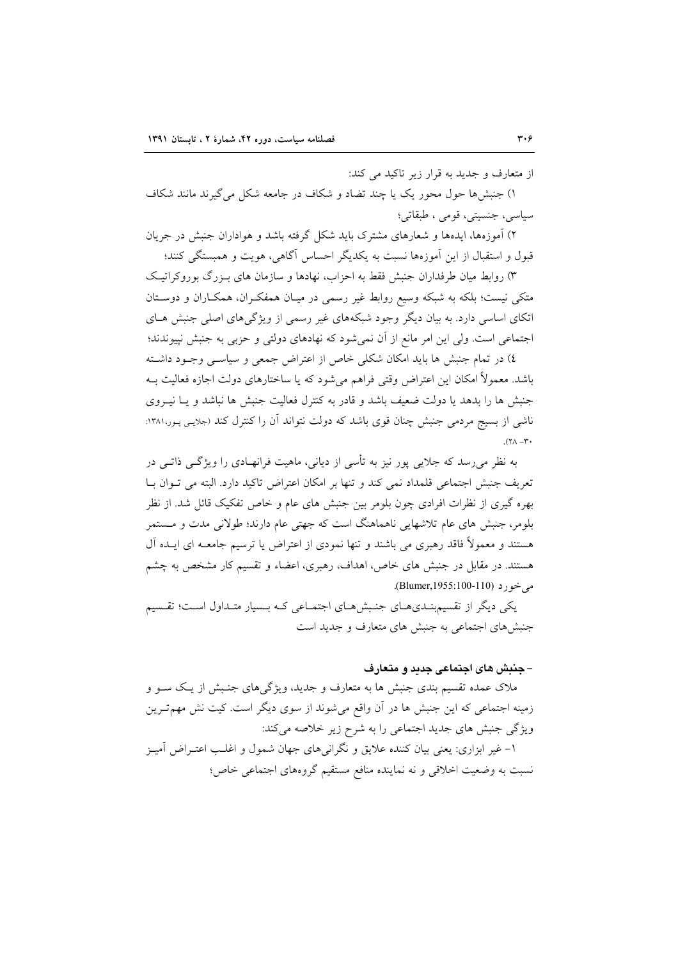از متعارف و جدید به قرار زیر تاکید می کند:

۱) جنش ها حول محور یک یا چند تضاد و شکاف در جامعه شکل می گیرند مانند شکاف سياسي، جنسيتي، قومي ، طبقاتي؛

۲) آموزهها، ایدهها و شعارهای مشترک باید شکل گرفته باشد و هواداران جنبش در جریان قبول و استقبال از این آموزهها نسبت به یکدیگر احساس آگاهی، هویت و همبستگی کنند؛

۳) روابط میان طرفداران جنبش فقط به احزاب، نهادها و سازمان های بـزرگ بوروکراتیک متکی نیست؛ بلکه به شبکه وسیع روابط غیر رسمی در میـان همفکـران، همکـاران و دوسـتان اتکای اساسی دارد. به بیان دیگر وجود شبکههای غیر رسمی از ویژگی های اصلی جنبش هـای اجتماعی است. ولی این امر مانع از آن نمیشود که نهادهای دولتی و حزبی به جنبش نپیوندند؛

٤) در تمام جنبش ها بايد امكان شكلي خاص از اعتراض جمعي و سياسـي وجـود داشـته باشد. معمولاً امکان این اعتراض وقتی فراهم می شود که یا ساختارهای دولت اجازه فعالیت بـه جنبش ها را بدهد یا دولت ضعیف باشد و قادر به کنترل فعالیت جنبش ها نباشد و یـا نیـروی ناشی از بسیج مردمی جنبش چنان قوی باشد که دولت نتواند آن را کنترل کند (جلایی پـور،۱۳۸۱:  $Y - \Lambda Y$ ).

به نظر میرسد که جلایی پور نیز به تأسی از دیانی، ماهیت فرانهـادی را ویژگــی ذاتــی در تعريف جنبش اجتماعي قلمداد نمي كند و تنها بر امكان اعتراض تاكيد دارد. البته مي تـوان بــا بهره گیری از نظرات افرادی چون بلومر بین جنبش های عام و خاص تفکیک قائل شد. از نظر بلومر، جنبش های عام تلاشهایی ناهماهنگ است که جهتی عام دارند؛ طولانی مدت و مستمر هستند و معمولاً فاقد رهبری می باشند و تنها نمودی از اعتراض یا ترسیم جامعـه ای ایــده آل هستند. در مقابل در جنبش های خاص، اهداف، رهبری، اعضاء و تقسیم کار مشخص به چشم مي خو ر د (110-110). Blumer, 1955:

یکی دیگر از تقسیم بندی های جنبش های اجتماعی که بسیار متداول است؛ تقسیم جنبشهای اجتماعی به جنبش های متعارف و جدید است

## – جنبش های اجتماعی جدید و متعارف

ملاک عمده تقسیم بندی جنبش ها به متعارف و جدید، ویژگیهای جنـبش از یـک ســو و زمینه اجتماعی که این جنبش ها در آن واقع میشوند از سوی دیگر است. کیت نش مهم تـرین ویژگی جنبش های جدید اجتماعی را به شرح زیر خلاصه میکند: ۱– غیر ابزاری: یعنی بیان کننده علایق و نگرانیهای جهان شمول و اغلـب اعتــراض آمیــز نسبت به وضعیت اخلاقی و نه نماینده منافع مستقیم گروههای اجتماعی خاص؛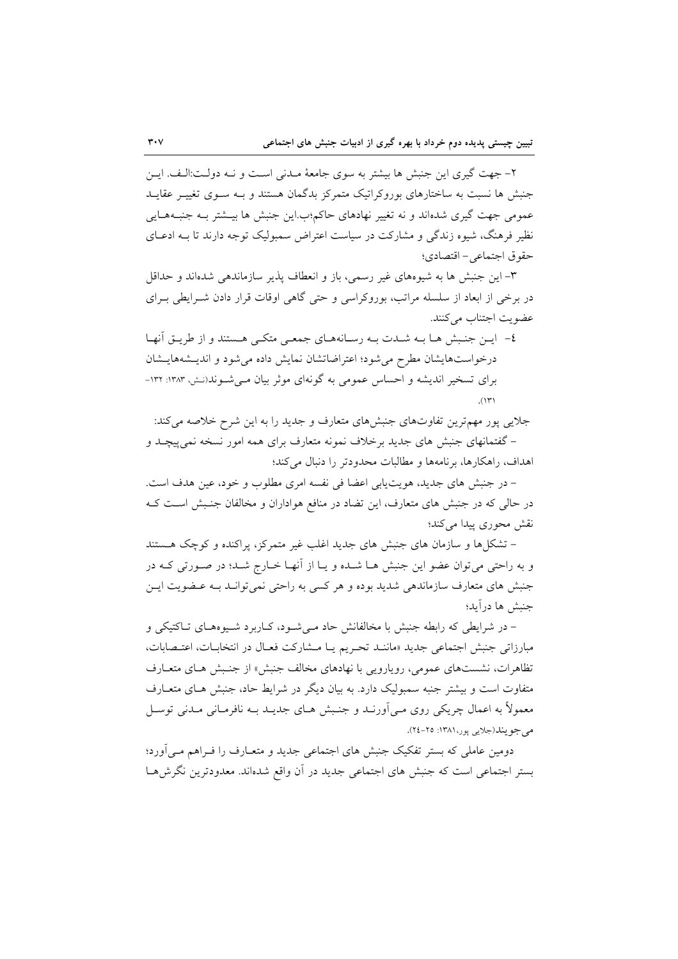۲– جهت گیری این جنبش ها بیشتر به سوی جامعهٔ مـدنی اسـت و نــه دولـت:الـف. ایــن جنبش ها نسبت به ساختارهای بوروکراتیک متمرکز بدگمان هستند و بـه سـوی تغییـر عقایـد عمومی جهت گیری شدهاند و نه تغییر نهادهای حاکم؛ب این جنبش ها بیـشتر بـه جنبـههـایی نظیر فرهنگ، شیوه زندگی و مشارکت در سیاست اعتراض سمبولیک توجه دارند تا بـه ادعــای حقوق اجتماعي- اقتصادي؛

٣- اين جنبش ها به شيوههاي غير رسمي، باز و انعطاف پذير سازماندهي شدهاند و حداقل در برخی از ابعاد از سلسله مراتب، بوروکراسی و حتی گاهی اوقات قرار دادن شـرایطی بـرای عضويت اجتناب مي كنند.

٤- ايـن جنـبش هـا بـه شـدت بـه رسـانههـاي جمعـي متكـي هـستند و از طريـق أنهـا درخواستهایشان مطرح می شود؛ اعتراضاتشان نمایش داده می شود و اندیـشههایـشان برای تسخیر اندیشه و احساس عمومی به گونهای موثر بیان مهی شوند(نش، ۱۳۸۳: ۱۳۲-

جلایی پور مهمترین تفاوتهای جنبشهای متعارف و جدید را به این شرح خلاصه می کند: – گفتمانهای جنبش های جدید برخلاف نمونه متعارف برای همه امور نسخه نمی پیچـد و اهداف، راهكارها، برنامهها و مطالبات محدودتر را دنبال مي كند؛

– در جنبش های جدید، هویت یابی اعضا فی نفسه امری مطلوب و خود، عین هدف است. در حالی که در جنبش های متعارف، این تضاد در منافع هواداران و مخالفان جنـبش اسـت کـه نقش محوري پيدا مي کند؛

– تشکلها و سازمان های جنبش های جدید اغلب غیر متمرکز، پراکنده و کوچک هستند و به راحتی می توان عضو این جنبش هـا شـده و یـا از أنهـا خـارج شـد؛ در صـورتی کـه در جنبش های متعارف سازماندهی شدید بوده و هر کسی به راحتی نمی توانـد بـه عـضویت ایـن جنبش ها درآيد؛

- در شرایطی که رابطه جنبش با مخالفانش حاد می شـود، کـاربرد شـیوههـای تـاکتیکی و مبارزاتی جنبش اجتماعی جدید «ماننـد تحـریم یـا مـشارکت فعـال در انتخابـات، اعتـصابات، تظاهرات، نشستهای عمومی، روپارویی با نهادهای مخالف جنبش» از جنبش هـای متعـارف متفاوت است و بیشتر جنبه سمبولیک دارد. به بیان دیگر در شرایط حاد، جنبش هـای متعـارف معمولاً به اعمال چريکي روي مـي آورنـد و جنـبش هـاي جديـد بــه نافرمـاني مـدني توسـل مي جو پند(جلايي يور، ۱۳۸۱: ۲۵-۲٤).

دومین عاملی که بستر تفکیک جنبش های اجتماعی جدید و متعـارف را فــراهم مــی[ورد؛ بستر اجتماعی است که جنبش های اجتماعی جدید در آن واقع شدهاند. معدودترین نگرش هـا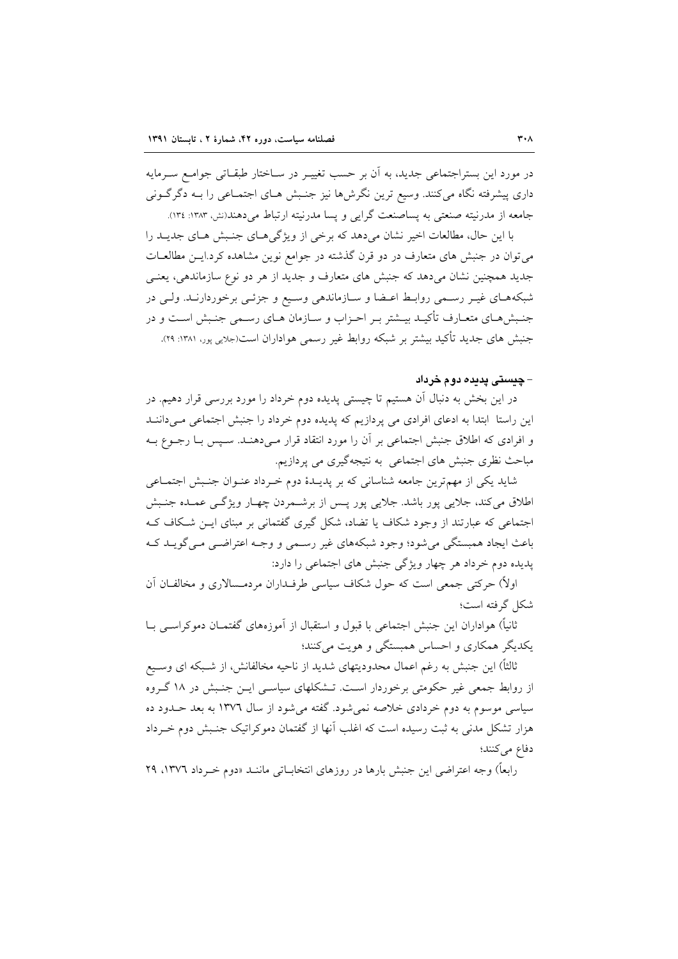در مورد این بستراجتماعی جدید، به آن بر حسب تغییـر در سـاختار طبقـاتی جوامـع سـرمایه داری پیشرفته نگاه میکنند. وسیع ترین نگرش۵ا نیز جنـبش هـای اجتمـاعی را بـه دگرگـونی جامعه از مدرنیته صنعتی به پساصنعت گرایی و پسا مدرنیته ارتباط می دهند(نش، ۱۳۸۳: ۱۳٤).

با این حال، مطالعات اخیر نشان می دهد که برخی از ویژگی هـای جنـبش هـای جدیـد را می توان در جنبش های متعارف در دو قرن گذشته در جوامع نوین مشاهده کرد.ایــن مطالعــات جدید همچنین نشان میدهد که جنبش های متعارف و جدید از هر دو نوع سازماندهی، یعنبی شبکههای غیـر رسـمی روابـط اعـضا و سـازماندهی وسـیع و جزئـی برخوردارنـد. ولـی در جنبش هـاي متعـارف تأكيــد بيــشتر بــر احــزاب و ســازمان هــاي رســمي جنـبش اســت و در جنبش های جدید تأکید بیشتر بر شبکه روابط غیر رسمی هواداران است(جلایی پور، ۱۳۸۱: ۲۹).

## – چىستى پدىدە دوم خرداد

در این بخش به دنبال آن هستیم تا چیستی پدیده دوم خرداد را مورد بررسی قرار دهیم. در این راستا ابتدا به ادعای افرادی می پردازیم که پدیده دوم خرداد را جنبش اجتماعی میدانن و افرادی که اطلاق جنبش اجتماعی بر آن را مورد انتقاد قرار مـیدهنـد. سـیس بـا رجــوع بــه مباحث نظری جنبش های اجتماعی به نتیجهگیری می پردازیم.

شاید یکی از مهمترین جامعه شناسانی که بر پدیـدهٔ دوم خـرداد عنـوان جنـبش اجتمـاعی اطلاق می کند، جلایی پور باشد. جلایی پور پس از برشـمردن چهـار ویژگـی عمـده جنـبش اجتماعی که عبارتند از وجود شکاف یا تضاد، شکل گیری گفتمانی بر مبنای ایــن شــکاف کــه باعث ایجاد همبستگی می شود؛ وجود شبکههای غیر رسـمی و وجـه اعتراضـی مـی گویــد کـه پدیده دوم خرداد هر چهار ویژگی جنبش های اجتماعی را دارد:

اولاً) حرکتی جمعی است که حول شکاف سیاسی طرفــداران مردمــسالاری و مخالفــان آن شكل گرفته است؛

ثانیاً) هواداران این جنبش اجتماعی با قبول و استقبال از آموزههای گفتمـان دموکراســی بــا یکدیگر همکاری و احساس همبستگی و هویت می کنند؛

ثالثاً) این جنبش به رغم اعمال محدودیتهای شدید از ناحیه مخالفانش، از شـبکه ای وسـیع از روابط جمعی غیر حکومتی برخوردار است. تــشکلهای سیاســی ایــن جنـبش در ۱۸ گــروه سیاسی موسوم به دوم خردادی خلاصه نمی شود. گفته می شود از سال ۱۳۷٦ به بعد حـدود ده هزار تشکل مدنی به ثبت رسیده است که اغلب آنها از گفتمان دموکراتیک جنـبش دوم خـرداد دفاع می کنند؛

رابعاً) وجه اعتراضي اين جنبش بارها در روزهاي انتخابــاتي ماننــد «دوم خــرداد ١٣٧٦، ٢٩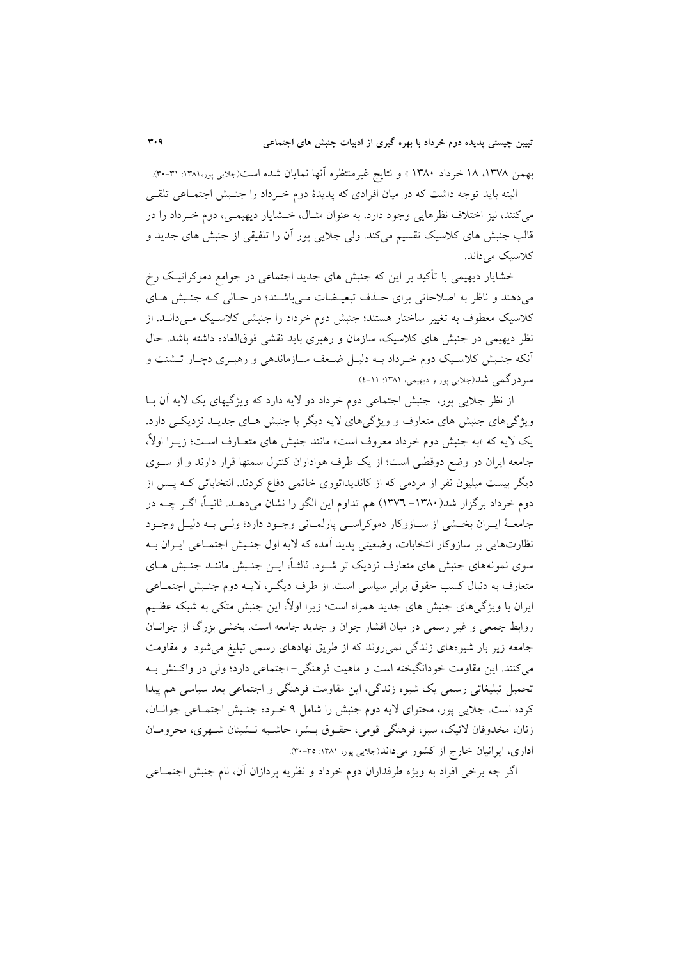بهمن ١٣٧٨، ١٨ خرداد ١٣٨٠ » و نتايج غيرمنتظره آنها نمايان شده است(جلايي پور،١٣٨١: ٣١-٣٠). البته باید توجه داشت که در میان افرادی که پدیدهٔ دوم خـرداد را جنـبش اجتمـاعی تلقـی

مي كنند، نيز اختلاف نظرهايي وجود دارد. به عنوان مثـال، خــشايار ديهيمــي، دوم خــرداد را در قالب جنبش های کلاسیک تقسیم میکند. ولی جلایی پور اَن را تلفیقی از جنبش های جدید و کلاسیک مے داند.

خشایار دیهیمی با تأکید بر این که جنبش های جدید اجتماعی در جوامع دموکراتیک رخ می دهند و ناظر به اصلاحاتی برای حـذف تبعیـضات مـی باشـند؛ در حـالی کـه جنـبش هـای کلاسیک معطوف به تغییر ساختار هستند؛ جنبش دوم خرداد را جنبشی کلاسـیک مـی(دانــد. از نظر دیهیمی در جنبش های کلاسیک، سازمان و رهبری باید نقشی فوقالعاده داشته باشد. حال آنکه جنـبش کلاسـیک دوم خـرداد بــه دلیــل ضـعف ســازماندهی و رهبـری دچـار تــشتت و سر درگمی شد(جلایی یور و دیهیمی، ۱۳۸۱: ۱۱-٤).

از نظر جلایی پور، جنبش اجتماعی دوم خرداد دو لایه دارد که ویژگیهای یک لایه اَن بــا ویژگیهای جنبش های متعارف و ویژگیهای لایه دیگر با جنبش هـای جدیـد نزدیکـی دارد. یک لایه که «به جنبش دوم خرداد معروف است» مانند جنبش های متعـارف اسـت؛ زیــرا اولاً، جامعه ایران در وضع دوقطبی است؛ از یک طرف هواداران کنترل سمتها قرار دارند و از سـوی دیگر بیست میلیون نفر از مردمی که از کاندیداتوری خاتمی دفاع کردند. انتخاباتی کـه پـس از دوم خرداد برگزار شد(۱۳۸۰– ۱۳۷۲) هم تداوم این الگو را نشان میدهـد. ثانیــاً، اگــر چــه در جامعـهٔ ايـران بخـشي از سـازوكار دموكراسـي پارلمـاني وجـود دارد؛ ولـي بـه دليـل وجـود نظارتهایی بر سازوکار انتخابات، وضعیتی پدید آمده که لایه اول جنسش اجتمـاعی ایـران بـه سوی نمونههای جنبش های متعارف نزدیک تر شـود. ثالثـاً، ایــن جنـبش ماننــد جنـبش هــای متعارف به دنبال کسب حقوق برابر سیاسی است. از طرف دیگـر، لایــه دوم جنـبش اجتمــاعی ایران با ویژگیهای جنبش های جدید همراه است؛ زیرا اولاً، این جنبش متکی به شبکه عظـیم روابط جمعی و غیر رسمی در میان اقشار جوان و جدید جامعه است. بخشی بزرگ از جوانـان جامعه زیر بار شیوههای زندگی نمی روند که از طریق نهادهای رسمی تبلیغ می شود و مقاومت می کنند. این مقاومت خودانگیخته است و ماهیت فرهنگی – اجتماعی دارد؛ ولی در واکـنش بـه تحمیل تبلیغاتی رسمی یک شیوه زندگی، این مقاومت فرهنگی و اجتماعی بعد سیاسی هم پیدا كرده است. جلايي يور، محتواي لايه دوم جنبش را شامل ۹ خـرده جنـبش اجتمـاعي جوانــان، زنان، مخدوفان لائيک، سبز، فرهنگي قومي، حقـوق بــشر، حاشـيه نــشينان شــهري، محرومــان اداری، ایرانیان خارج از کشور می داند(جلایی پور، ۱۳۸۱: ۳۵-۳۰).

اگر چه برخی افراد به ویژه طرفداران دوم خرداد و نظریه پردازان آن، نام جنبش اجتمــاعی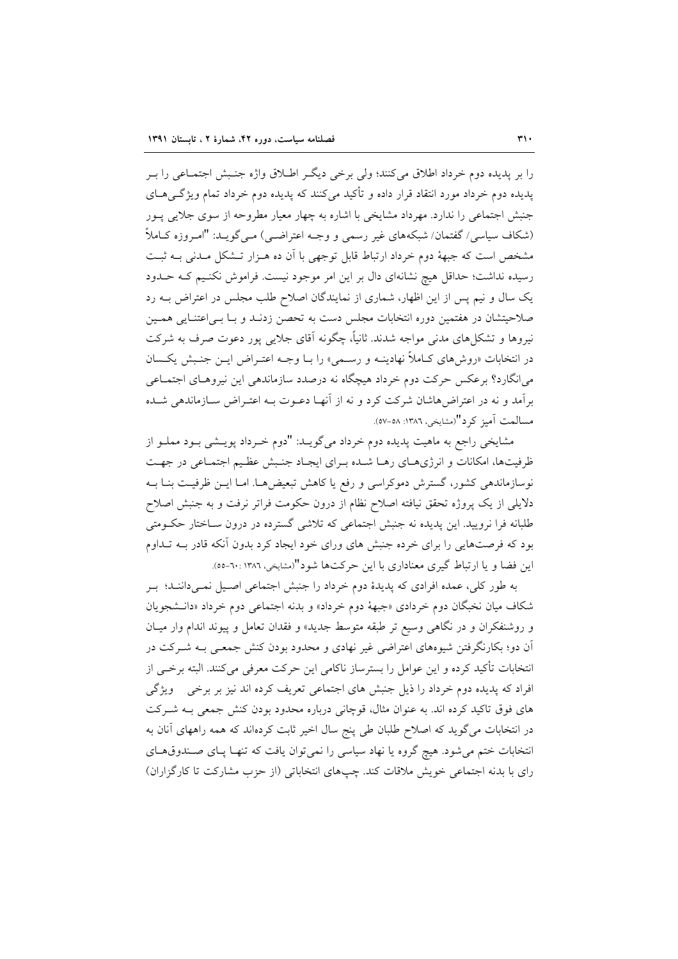را بر پدیده دوم خرداد اطلاق میکنند؛ ولی برخی دیگر اطـلاق واژه جنـبش اجتمـاعی را بـر یدیده دوم خرداد مورد انتقاد قرار داده و تأکید می کنند که پدیده دوم خرداد تمام ویژگے هـای جنبش اجتماعی را ندارد. مهرداد مشایخی با اشاره به چهار معیار مطروحه از سوی جلایی پـور (شکاف سیاسی/ گفتمان/ شبکههای غیر رسمی و وجــه اعتراضــی) مــی گویــد: "امـروزه کــاملاً مشخص است که جبههٔ دوم خرداد ارتباط قابل توجهی با آن ده هـزار تـشکل مـدنی بـه ثبـت رسیده نداشت؛ حداقل هیچ نشانهای دال بر این امر موجود نیست. فراموش نکنیم کـه حـدود یک سال و نیم پس از این اظهار، شماری از نمایندگان اصلاح طلب مجلس در اعتراض بـه رد صلاحیتشان در هفتمین دوره انتخابات مجلس دست به تحصن زدنـد و بـا بـی|عتنـایی همـین نیروها و تشکلهای مدنی مواجه شدند. ثانیاً، چگونه آقای جلایی پور دعوت صرف به شرکت در انتخابات «روشهای کـاملاً نهادینـه و رسـمی» را بـا وجـه اعتـراض ایـن جنـبش یکـسان می انگارد؟ برعکس حرکت دوم خرداد هیچگاه نه درصدد سازماندهی این نیروهـای اجتمـاعی برأمد و نه در اعتراضهاشان شرکت کرد و نه از أنهـا دعــوت بــه اعتــراض ســازماندهـي شــده مسالمت آميز كرد"(مشايخي، ١٣٨٦: ٥٨-٥٧).

مشایخی راجع به ماهیت پدیده دوم خرداد میگویــد: "دوم خــرداد پویــشی بــود مملــو از ظرفیتها، امکانات و انرژیهای رهـا شـده بـرای ایجـاد جنـبش عظـیم اجتمـاعی در جهـت نوسازماندهی کشور، گسترش دموکراسی و رفع یا کاهش تبعیضها. امـا ایــن ظرفیـت بنــا بــه دلایلی از یک پروژه تحقق نیافته اصلاح نظام از درون حکومت فراتر نرفت و به جنبش اصلاح طلبانه فرا نرویید. این پدیده نه جنبش اجتماعی که تلاشی گسترده در درون ســاختار حکــومتی بود که فرصتهایی را برای خرده جنبش های ورای خود ایجاد کرد بدون آنکه قادر بـه تـداوم این فضا و یا ارتباط گیری معناداری با این حرکتها شود"(مشایخی، ۱۳۸۲ : ۰۰-۰۰).

به طور کلی، عمده افرادی که پدیدهٔ دوم خرداد را جنبش اجتماعی اصـیل نمـیداننـد؛ بـر شکاف میان نخبگان دوم خردادی «جبههٔ دوم خرداد» و بدنه اجتماعی دوم خرداد «دانـشجویان و روشنفکران و در نگاهی وسیع تر طبقه متوسط جدید» و فقدان تعامل و پیوند اندام وار میـان آن دو؛ بکارنگرفتن شیوههای اعتراضی غیر نهادی و محدود بودن کنش جمعـی بـه شــرکت در انتخابات تأكيد كرده و اين عوامل را بسترساز ناكامي اين حركت معرفي مي كنند. البته برخـي از افراد که پدیده دوم خرداد را ذیل جنبش های اجتماعی تعریف کرده اند نیز بر برخی ویژگی های فوق تاکید کرده اند. به عنوان مثال، قوچانی درباره محدود بودن کنش جمعی بـه شـرکت در انتخابات میگوید که اصلاح طلبان طی پنج سال اخیر ثابت کردهاند که همه راههای آنان به انتخابات ختم می شود. هیچ گروه یا نهاد سیاسی را نمی توان یافت که تنهـا پـای صـندوق هـای رای با بدنه اجتماعی خویش ملاقات کند. چپهای انتخاباتی (از حزب مشارکت تا کارگزاران)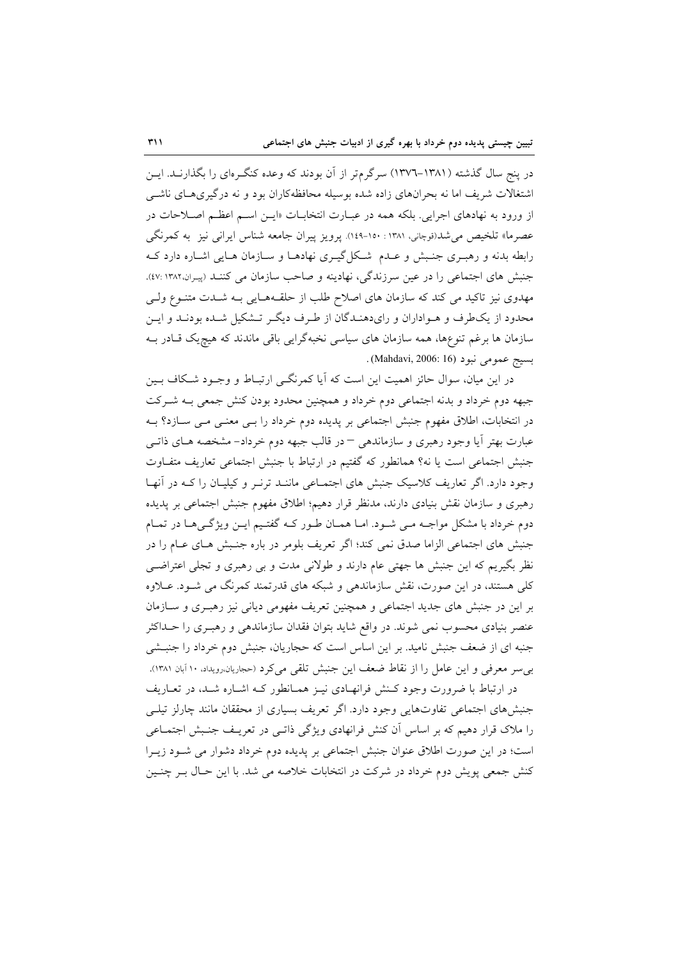در پنج سال گذشته (۱۳۸۱–۱۳۷۲) سرگرمتر از آن بودند که وعده کنگـرمای را بگذارنــد. ایــن اشتغالات شریف اما نه بحرانهای زاده شده بوسیله محافظهکاران بود و نه درگیری های ناشبی از ورود به نهادهای اجرایی. بلکه همه در عبـارت انتخابـات «ایــن اســم اعظــم اصــلاحات در عصرما» تلخیص می شد(قوچانی، ۱۳۸۱ : ۱۵۰-۱٤۹). پرویز پیران جامعه شناس ایرانی نیز به کمرنگی رابطه بدنه و رهبــری جنــبش و عــدم شـکل2یـــری نهادهــا و ســازمان هــایی اشــاره دارد کــه جنبش های اجتماعی را در عین سرزندگی، نهادینه و صاحب سازمان می کننـد (پیـران ١٣٨٢ :٤٧). مهدوی نیز تاکید می کند که سازمان های اصلاح طلب از حلقـههـایی بـه شــدت متنــوع ولــی محدود از یکطرف و هـواداران و رایدهنـدگان از طـرف دیگـر تـشکیل شـده بودنـد و ایـن سازمان ها برغم تنوعها، همه سازمان های سیاسی نخبهگرایی باقی ماندند که هیچ یک قــادر بــه . بسبج عمومي نبود (Mahdavi, 2006: 16)

در این میان، سوال حائز اهمیت این است که آیا کمرنگے ارتبـاط و وجـود شـکاف بـین جبهه دوم خرداد و بدنه اجتماعی دوم خرداد و همچنین محدود بودن کنش جمعی بـه شـرکت در انتخابات، اطلاق مفهوم جنبش اجتماعی بر پدیده دوم خرداد را بــی معنــی مــی ســازد؟ بــه عبارت بهتر آيا وجود رهبري و سازماندهي – در قالب جبهه دوم خرداد– مشخصه هـاي ذاتـبي جنبش اجتماعی است یا نه؟ همانطور که گفتیم در ارتباط با جنبش اجتماعی تعاریف متفاوت وجود دارد. اگر تعاریف کلاسیک جنبش های اجتمـاعی ماننـد ترنـر و کیلیـان را کـه در آنهـا رهبری و سازمان نقش بنیادی دارند، مدنظر قرار دهیم؛ اطلاق مفهوم جنبش اجتماعی بر پدیده دوم خرداد با مشکل مواجــه مــی شــود. امــا همــان طــور کــه گفتــيم ايــن ويژگــیهــا در تمــام جنبش های اجتماعی الزاما صدق نمی کند؛ اگر تعریف بلومر در باره جنبش هـای عـام را در نظر بگیریم که این جنبش ها جهتی عام دارند و طولانی مدت و بی رهبری و تجلی اعتراضـی کلی هستند، در این صورت، نقش سازماندهی و شبکه های قدرتمند کمرنگ می شـود. عــلاوه بر این در جنبش های جدید اجتماعی و همچنین تعریف مفهومی دیانی نیز رهبـری و ســازمان عنصر بنیادی محسوب نمی شوند. در واقع شاید بتوان فقدان سازماندهی و رهبـری را حــداکثر جنبه ای از ضعف جنبش نامید. بر این اساس است که حجاریان، جنبش دوم خرداد را جنبـشی بی سر معرفی و این عامل را از نقاط ضعف این جنبش تلقی می کرد (حجاریان،رویداد، ۱۰ آبان ۱۳۸۱).

در ارتباط با ضرورت وجود کـنش فرانهـادي نيـز همـانطور کـه اشـاره شـد، در تعـاريف جنبشهای اجتماعی تفاوتهایی وجود دارد. اگر تعریف بسیاری از محققان مانند چارلز تیلـی را ملاک قرار دهیم که بر اساس آن کنش فرانهادی ویژگی ذاتـی در تعریـف جنـبش اجتمــاعی است؛ در این صورت اطلاق عنوان جنبش اجتماعی بر پدیده دوم خرداد دشوار می شـود زیـرا کنش جمعی پویش دوم خرداد در شرکت در انتخابات خلاصه می شد. با این حـال بـر چنـین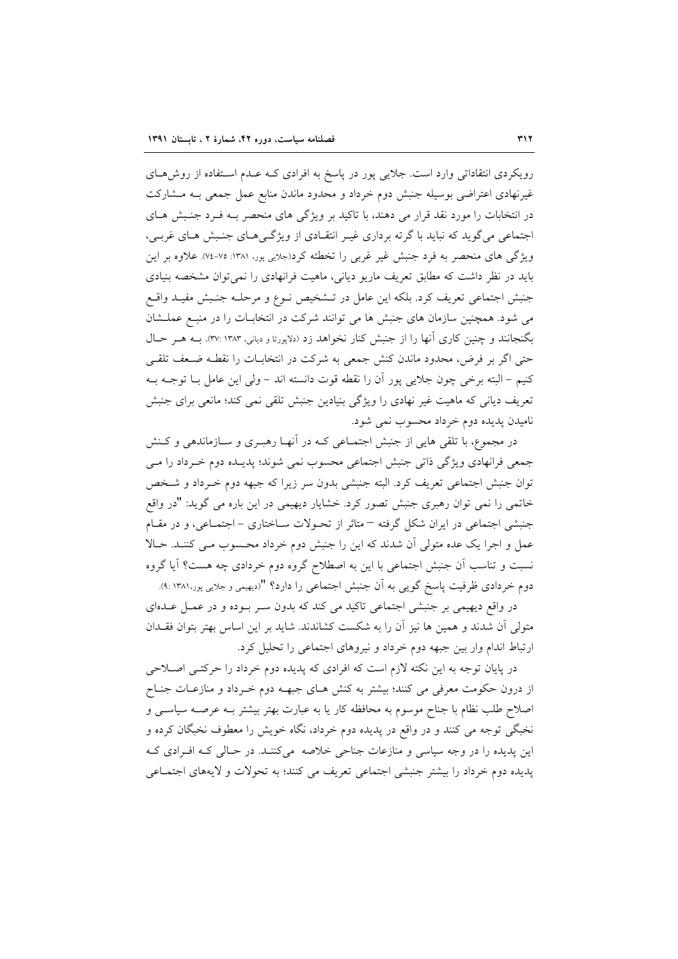رویکردی انتقاداتی وارد است. جلایی پور در پاسخ به افرادی کـه عـدم اسـتفاده از روش هـای غیرنهادی اعتراضی بوسیله جنبش دوم خرداد و محدود ماندن منابع عمل جمعی بـه مـشارکت در انتخابات را مورد نقد قرار می دهند، با تاکید بر ویژگی های منحصر بـه فـرد جنـبش هـای اجتماعی می گوید که نباید با گرته برداری غیـر انتقـادی از ویژگـیهـای جنـبش هـای غربـی، ویژگی های منحصر به فرد جنبش غیر غربی را تخطئه کرد(جلایی پور، ۱۳۸۱: ۷۵-۷۶). علاوه بر این باید در نظر داشت که مطابق تعریف ماریو دیانی، ماهیت فرانهادی را نمی توان مشخصه بنیادی جنبش اجتماعی تعریف کرد. بلکه این عامل در تــشخیص نــوع و مرحلــه جنــبش مفیــد واقــع می شود. همچنین سازمان های جنبش ها می توانند شرکت در انتخابـات را در منبـع عملـشان بگنجانند و چنین کاری آنها را از جنبش کنار نخواهد زد (دلاپورتا و دیانی، ۳۷: ۱۳۸۳). بـه هـر حـال حتی اگر بر فرض، محدود ماندن کنش جمعی به شرکت در انتخابـات را نقطـه ضـعف تلقـی كنيم – البته برخي چون جلايي يور آن را نقطه قوت دانسته اند – ولي اين عامل بــا توجــه بــه تعریف دیانی که ماهیت غیر نهادی را ویژگی بنیادین جنبش تلقی نمی کند؛ مانعی برای جنبش ناميدن پديده دوم خرداد محسوب نمي شود.

در مجموع، با تلقی هایی از جنبش اجتمـاعی کـه در آنهـا رهبـری و ســازماندهی و کــنش جمعی فرانهادی ویژگی ذاتی جنبش اجتماعی محسوب نمی شوند؛ پدیـده دوم خـرداد را مـی توان جنبش اجتماعی تعریف کرد. البته جنبشی بدون سر زیرا که جبهه دوم خـرداد و شـخص خاتمی را نمی توان رهبری جنبش تصور کرد. خشایار دیهیمی در این باره می گوید: "در واقع جنبشی اجتماعی در ایران شکل گرفته – متاثر از تحـولات سـاختاری – اجتمـاعی، و در مقـام عمل و اجرا یک عده متولی آن شدند که این را جنبش دوم خرداد محسوب مـی کننـد. حـالا نسبت و تناسب اَن جنبش اجتماعی با این به اصطلاح گروه دوم خردادی چه هست؟ اَیا گروه دوم خردادی ظرفیت پاسخ گویی به آن جنبش اجتماعی را دارد؟ "(دیهیمی و جلایی پور،۱۳۸۱:).

در واقع دیهیمی بر جنبشی اجتماعی تاکید می کند که بدون سـر بـوده و در عمـل عـدهای متولَّى أن شدند و همین ها نیز أن را به شکست کشاندند. شاید بر این اساس بهتر بتوان فقـدان ارتباط اندام وار بین جبهه دوم خرداد و نیروهای اجتماعی را تحلیل کرد.

در پایان توجه به این نکته لازم است که افرادی که پدیده دوم خرداد را حرکتبی اصلاحی از درون حکومت معرفی می کنند؛ بیشتر به کنش هـای جبهــه دوم خــرداد و منازعـات جنـاح اصلاح طلب نظام با جناح موسوم به محافظه کار یا به عبارت بهتر بیشتر بـه عرصـه سیاسـی و نخبگی توجه می کنند و در واقع در پدیده دوم خرداد، نگاه خویش را معطوف نخبگان کرده و این پدیده را در وجه سیاسی و منازعات جناحی خلاصه می کننـد. در حـالی کـه افـرادی کـه پدیده دوم خرداد را بیشتر جنبشی اجتماعی تعریف می کنند؛ به تحولات و لایههای اجتماعی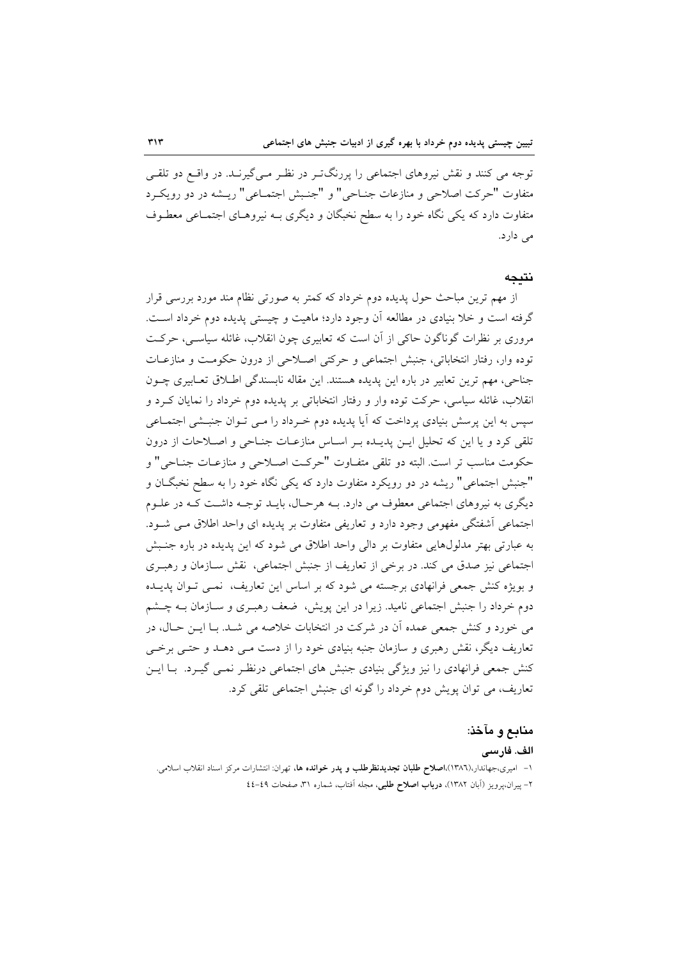توجه می کنند و نقش نیروهای اجتماعی را پررنگتر در نظر مـیگیرنـد. در واقـع دو تلقـی متفاوت "حركت اصلاحي و منازعات جنــاحي" و "جنـبش اجتمــاعي" ريــشه در دو رويكــرد متفاوت دارد که یکی نگاه خود را به سطح نخبگان و دیگری بـه نیروهـای اجتمـاعی معطـوف مے دارد.

#### نتىجە

از مهم ترین مباحث حول پدیده دوم خرداد که کمتر به صورتی نظام مند مورد بررسی قرار گرفته است و خلا بنیادی در مطالعه آن وجود دارد؛ ماهیت و چیستی پدیده دوم خرداد است. مروری بر نظرات گوناگون حاکی از آن است که تعابیری چون انقلاب، غائله سیاسبی، حرکت توده وار، رفتار انتخاباتي، جنبش اجتماعي و حركتي اصـلاحي از درون حكومـت و منازعـات جناحي، مهم ترين تعابير در باره اين يديده هستند. اين مقاله نابسندگي اطـلاق تعـابيري چــون انقلاب، غائله سیاسی، حرکت توده وار و رفتار انتخاباتی بر پدیده دوم خرداد را نمایان کـرد و سپس به این پرسش بنیادی پرداخت که آیا پدیده دوم خـرداد را مـی تـوان جنبـشی اجتمـاعی تلقی کرد و یا این که تحلیل ایـن پدیـده بـر اسـاس منازعـات جنـاحی و اصـلاحات از درون حكومت مناسب تر است. البته دو تلقى متفـاوت "حركـت اصـلاحي و منازعـات جنـاحي" و "جنبش اجتماعي" ريشه در دو رويكرد متفاوت دارد كه يكي نگاه خود را به سطح نخبگــان و دیگری به نیروهای اجتماعی معطوف می دارد. بـه هرحـال، بایـد توجـه داشـت کـه در علـوم اجتماعی آشفتگی مفهومی وجود دارد و تعاریفی متفاوت بر پدیده ای واحد اطلاق مـی شـود. به عبارتی بهتر مدلولهایی متفاوت بر دالی واحد اطلاق می شود که این پدیده در باره جنبش اجتماعی نیز صدق می کند. در برخی از تعاریف از جنبش اجتماعی، نقش سـازمان و رهبـری و بویژه کنش جمعی فرانهادی برجسته می شود که بر اساس این تعاریف، نمبی تـوان پدیــده دوم خرداد را جنبش اجتماعی نامید. زیرا در این پویش، ضعف رهبـری و سـازمان بـه چــشم می خورد و کنش جمعی عمده آن در شرکت در انتخابات خلاصه می شـد. بـا ایــن حـال، در تعاریف دیگر، نقش رهبری و سازمان جنبه بنیادی خود را از دست مـی دهــد و حتــی برخــی کنش جمعی فرانهادی را نیز ویژگی بنیادی جنبش های اجتماعی درنظر نمـی گیـرد. بـا ایـن تعاریف، می توان پویش دوم خرداد را گونه ای جنبش اجتماعی تلقی کرد.

## منابع و مآخذ:

#### الف. فارسى

۱– امیری،جهاندار،(۱۳۸٦)،**اصلاح طلبان تجدیدنظرطلب و پدر خوانده ها**، تهران: انتشارات مرکز اسناد انقلاب اسلامی. ٢- پیران،پرویز (آبان ١٣٨٢)، درباب اصلاح طلبی، مجله آفتاب، شماره ٣١، صفحات ٤٩-٤٤